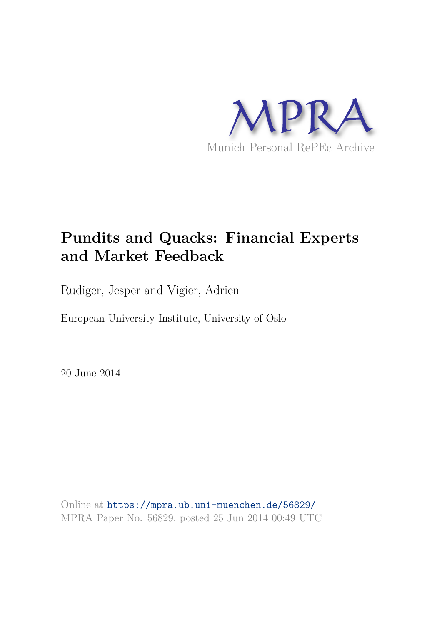

## **Pundits and Quacks: Financial Experts and Market Feedback**

Rudiger, Jesper and Vigier, Adrien

European University Institute, University of Oslo

20 June 2014

Online at https://mpra.ub.uni-muenchen.de/56829/ MPRA Paper No. 56829, posted 25 Jun 2014 00:49 UTC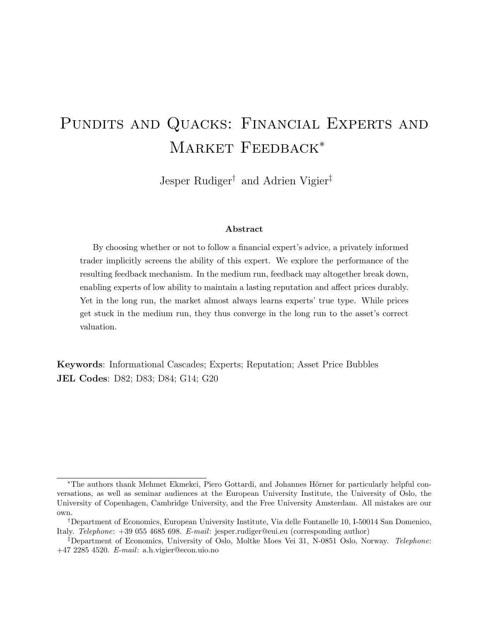# PUNDITS AND QUACKS: FINANCIAL EXPERTS AND MARKET FEEDBACK<sup>\*</sup>

Jesper Rudiger† and Adrien Vigier‡

#### Abstract

By choosing whether or not to follow a financial expert's advice, a privately informed trader implicitly screens the ability of this expert. We explore the performance of the resulting feedback mechanism. In the medium run, feedback may altogether break down, enabling experts of low ability to maintain a lasting reputation and affect prices durably. Yet in the long run, the market almost always learns experts' true type. While prices get stuck in the medium run, they thus converge in the long run to the asset's correct valuation.

Keywords: Informational Cascades; Experts; Reputation; Asset Price Bubbles JEL Codes: D82; D83; D84; G14; G20

<sup>\*</sup>The authors thank Mehmet Ekmekci, Piero Gottardi, and Johannes Hörner for particularly helpful conversations, as well as seminar audiences at the European University Institute, the University of Oslo, the University of Copenhagen, Cambridge University, and the Free University Amsterdam. All mistakes are our own.

<sup>†</sup>Department of Economics, European University Institute, Via delle Fontanelle 10, I-50014 San Domenico, Italy. Telephone: +39 055 4685 698. E-mail: jesper.rudiger@eui.eu (corresponding author)

<sup>‡</sup>Department of Economics, University of Oslo, Moltke Moes Vei 31, N-0851 Oslo, Norway. Telephone: +47 2285 4520. E-mail: a.h.vigier@econ.uio.no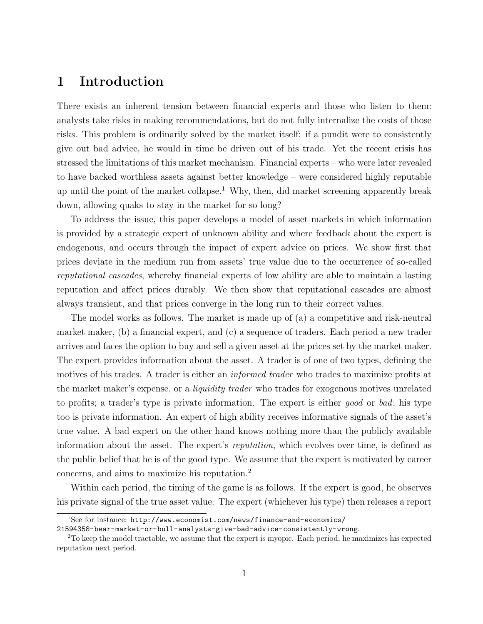## 1 Introduction

There exists an inherent tension between financial experts and those who listen to them: analysts take risks in making recommendations, but do not fully internalize the costs of those risks. This problem is ordinarily solved by the market itself: if a pundit were to consistently give out bad advice, he would in time be driven out of his trade. Yet the recent crisis has stressed the limitations of this market mechanism. Financial experts – who were later revealed to have backed worthless assets against better knowledge – were considered highly reputable up until the point of the market collapse.<sup>1</sup> Why, then, did market screening apparently break down, allowing quaks to stay in the market for so long?

To address the issue, this paper develops a model of asset markets in which information is provided by a strategic expert of unknown ability and where feedback about the expert is endogenous, and occurs through the impact of expert advice on prices. We show first that prices deviate in the medium run from assets' true value due to the occurrence of so-called reputational cascades, whereby financial experts of low ability are able to maintain a lasting reputation and affect prices durably. We then show that reputational cascades are almost always transient, and that prices converge in the long run to their correct values.

The model works as follows. The market is made up of (a) a competitive and risk-neutral market maker, (b) a financial expert, and (c) a sequence of traders. Each period a new trader arrives and faces the option to buy and sell a given asset at the prices set by the market maker. The expert provides information about the asset. A trader is of one of two types, defining the motives of his trades. A trader is either an *informed trader* who trades to maximize profits at the market maker's expense, or a *liquidity trader* who trades for exogenous motives unrelated to profits; a trader's type is private information. The expert is either good or bad; his type too is private information. An expert of high ability receives informative signals of the asset's true value. A bad expert on the other hand knows nothing more than the publicly available information about the asset. The expert's reputation, which evolves over time, is defined as the public belief that he is of the good type. We assume that the expert is motivated by career concerns, and aims to maximize his reputation.<sup>2</sup>

Within each period, the timing of the game is as follows. If the expert is good, he observes his private signal of the true asset value. The expert (whichever his type) then releases a report

<sup>1</sup>See for instance: http://www.economist.com/news/finance-and-economics/

<sup>21594358-</sup>bear-market-or-bull-analysts-give-bad-advice-consistently-wrong.

<sup>&</sup>lt;sup>2</sup>To keep the model tractable, we assume that the expert is myopic. Each period, he maximizes his expected reputation next period.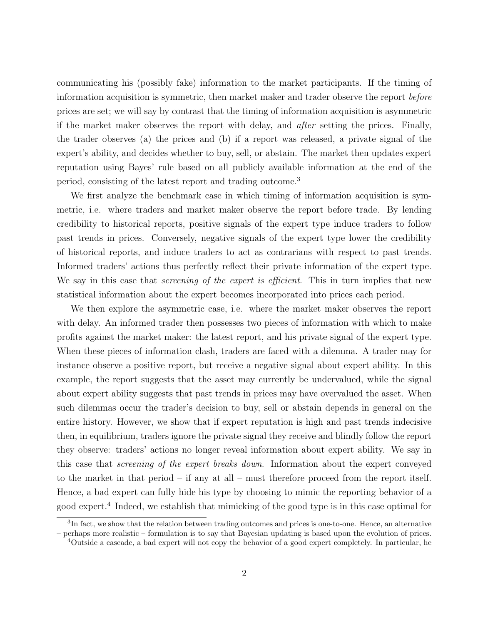communicating his (possibly fake) information to the market participants. If the timing of information acquisition is symmetric, then market maker and trader observe the report before prices are set; we will say by contrast that the timing of information acquisition is asymmetric if the market maker observes the report with delay, and after setting the prices. Finally, the trader observes (a) the prices and (b) if a report was released, a private signal of the expert's ability, and decides whether to buy, sell, or abstain. The market then updates expert reputation using Bayes' rule based on all publicly available information at the end of the period, consisting of the latest report and trading outcome. 3

We first analyze the benchmark case in which timing of information acquisition is symmetric, i.e. where traders and market maker observe the report before trade. By lending credibility to historical reports, positive signals of the expert type induce traders to follow past trends in prices. Conversely, negative signals of the expert type lower the credibility of historical reports, and induce traders to act as contrarians with respect to past trends. Informed traders' actions thus perfectly reflect their private information of the expert type. We say in this case that *screening of the expert is efficient*. This in turn implies that new statistical information about the expert becomes incorporated into prices each period.

We then explore the asymmetric case, i.e. where the market maker observes the report with delay. An informed trader then possesses two pieces of information with which to make profits against the market maker: the latest report, and his private signal of the expert type. When these pieces of information clash, traders are faced with a dilemma. A trader may for instance observe a positive report, but receive a negative signal about expert ability. In this example, the report suggests that the asset may currently be undervalued, while the signal about expert ability suggests that past trends in prices may have overvalued the asset. When such dilemmas occur the trader's decision to buy, sell or abstain depends in general on the entire history. However, we show that if expert reputation is high and past trends indecisive then, in equilibrium, traders ignore the private signal they receive and blindly follow the report they observe: traders' actions no longer reveal information about expert ability. We say in this case that screening of the expert breaks down. Information about the expert conveyed to the market in that period – if any at all – must therefore proceed from the report itself. Hence, a bad expert can fully hide his type by choosing to mimic the reporting behavior of a good expert.<sup>4</sup> Indeed, we establish that mimicking of the good type is in this case optimal for

<sup>&</sup>lt;sup>3</sup>In fact, we show that the relation between trading outcomes and prices is one-to-one. Hence, an alternative – perhaps more realistic – formulation is to say that Bayesian updating is based upon the evolution of prices.

<sup>4</sup>Outside a cascade, a bad expert will not copy the behavior of a good expert completely. In particular, he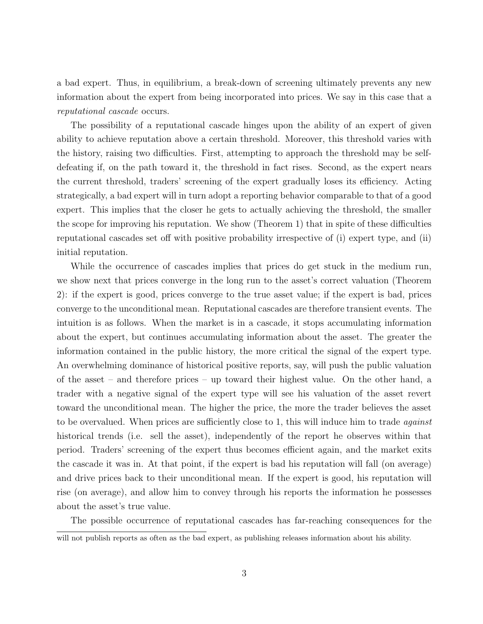a bad expert. Thus, in equilibrium, a break-down of screening ultimately prevents any new information about the expert from being incorporated into prices. We say in this case that a reputational cascade occurs.

The possibility of a reputational cascade hinges upon the ability of an expert of given ability to achieve reputation above a certain threshold. Moreover, this threshold varies with the history, raising two difficulties. First, attempting to approach the threshold may be selfdefeating if, on the path toward it, the threshold in fact rises. Second, as the expert nears the current threshold, traders' screening of the expert gradually loses its efficiency. Acting strategically, a bad expert will in turn adopt a reporting behavior comparable to that of a good expert. This implies that the closer he gets to actually achieving the threshold, the smaller the scope for improving his reputation. We show (Theorem 1) that in spite of these difficulties reputational cascades set off with positive probability irrespective of (i) expert type, and (ii) initial reputation.

While the occurrence of cascades implies that prices do get stuck in the medium run, we show next that prices converge in the long run to the asset's correct valuation (Theorem 2): if the expert is good, prices converge to the true asset value; if the expert is bad, prices converge to the unconditional mean. Reputational cascades are therefore transient events. The intuition is as follows. When the market is in a cascade, it stops accumulating information about the expert, but continues accumulating information about the asset. The greater the information contained in the public history, the more critical the signal of the expert type. An overwhelming dominance of historical positive reports, say, will push the public valuation of the asset – and therefore prices – up toward their highest value. On the other hand, a trader with a negative signal of the expert type will see his valuation of the asset revert toward the unconditional mean. The higher the price, the more the trader believes the asset to be overvalued. When prices are sufficiently close to 1, this will induce him to trade *against* historical trends (i.e. sell the asset), independently of the report he observes within that period. Traders' screening of the expert thus becomes efficient again, and the market exits the cascade it was in. At that point, if the expert is bad his reputation will fall (on average) and drive prices back to their unconditional mean. If the expert is good, his reputation will rise (on average), and allow him to convey through his reports the information he possesses about the asset's true value.

The possible occurrence of reputational cascades has far-reaching consequences for the

will not publish reports as often as the bad expert, as publishing releases information about his ability.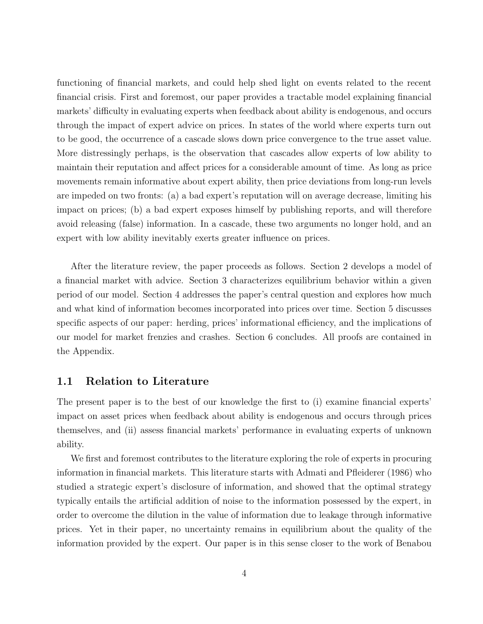functioning of financial markets, and could help shed light on events related to the recent financial crisis. First and foremost, our paper provides a tractable model explaining financial markets' difficulty in evaluating experts when feedback about ability is endogenous, and occurs through the impact of expert advice on prices. In states of the world where experts turn out to be good, the occurrence of a cascade slows down price convergence to the true asset value. More distressingly perhaps, is the observation that cascades allow experts of low ability to maintain their reputation and affect prices for a considerable amount of time. As long as price movements remain informative about expert ability, then price deviations from long-run levels are impeded on two fronts: (a) a bad expert's reputation will on average decrease, limiting his impact on prices; (b) a bad expert exposes himself by publishing reports, and will therefore avoid releasing (false) information. In a cascade, these two arguments no longer hold, and an expert with low ability inevitably exerts greater influence on prices.

After the literature review, the paper proceeds as follows. Section 2 develops a model of a financial market with advice. Section 3 characterizes equilibrium behavior within a given period of our model. Section 4 addresses the paper's central question and explores how much and what kind of information becomes incorporated into prices over time. Section 5 discusses specific aspects of our paper: herding, prices' informational efficiency, and the implications of our model for market frenzies and crashes. Section 6 concludes. All proofs are contained in the Appendix.

#### 1.1 Relation to Literature

The present paper is to the best of our knowledge the first to (i) examine financial experts' impact on asset prices when feedback about ability is endogenous and occurs through prices themselves, and (ii) assess financial markets' performance in evaluating experts of unknown ability.

We first and foremost contributes to the literature exploring the role of experts in procuring information in financial markets. This literature starts with Admati and Pfleiderer (1986) who studied a strategic expert's disclosure of information, and showed that the optimal strategy typically entails the artificial addition of noise to the information possessed by the expert, in order to overcome the dilution in the value of information due to leakage through informative prices. Yet in their paper, no uncertainty remains in equilibrium about the quality of the information provided by the expert. Our paper is in this sense closer to the work of Benabou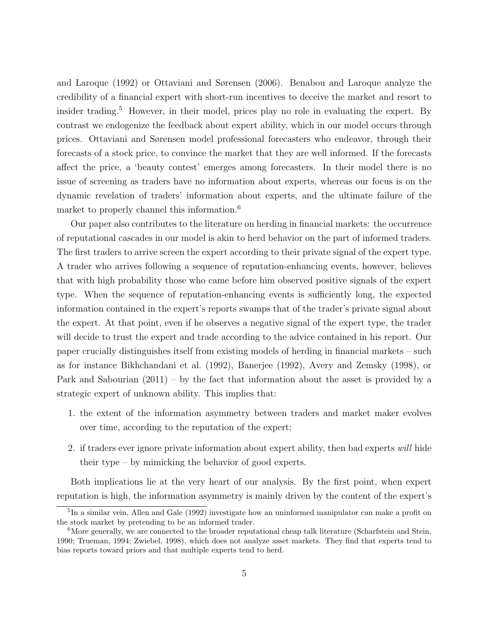and Laroque (1992) or Ottaviani and Sørensen (2006). Benabou and Laroque analyze the credibility of a financial expert with short-run incentives to deceive the market and resort to insider trading.<sup>5</sup> However, in their model, prices play no role in evaluating the expert. By contrast we endogenize the feedback about expert ability, which in our model occurs through prices. Ottaviani and Sørensen model professional forecasters who endeavor, through their forecasts of a stock price, to convince the market that they are well informed. If the forecasts affect the price, a 'beauty contest' emerges among forecasters. In their model there is no issue of screening as traders have no information about experts, whereas our focus is on the dynamic revelation of traders' information about experts, and the ultimate failure of the market to properly channel this information.<sup>6</sup>

Our paper also contributes to the literature on herding in financial markets: the occurrence of reputational cascades in our model is akin to herd behavior on the part of informed traders. The first traders to arrive screen the expert according to their private signal of the expert type. A trader who arrives following a sequence of reputation-enhancing events, however, believes that with high probability those who came before him observed positive signals of the expert type. When the sequence of reputation-enhancing events is sufficiently long, the expected information contained in the expert's reports swamps that of the trader's private signal about the expert. At that point, even if he observes a negative signal of the expert type, the trader will decide to trust the expert and trade according to the advice contained in his report. Our paper crucially distinguishes itself from existing models of herding in financial markets – such as for instance Bikhchandani et al. (1992), Banerjee (1992), Avery and Zemsky (1998), or Park and Sabourian (2011) – by the fact that information about the asset is provided by a strategic expert of unknown ability. This implies that:

- 1. the extent of the information asymmetry between traders and market maker evolves over time, according to the reputation of the expert;
- 2. if traders ever ignore private information about expert ability, then bad experts will hide their type – by mimicking the behavior of good experts.

Both implications lie at the very heart of our analysis. By the first point, when expert reputation is high, the information asymmetry is mainly driven by the content of the expert's

<sup>&</sup>lt;sup>5</sup>In a similar vein, Allen and Gale (1992) investigate how an uninformed manipulator can make a profit on the stock market by pretending to be an informed trader.

<sup>&</sup>lt;sup>6</sup>More generally, we are connected to the broader reputational cheap talk literature (Scharfstein and Stein, 1990; Trueman, 1994; Zwiebel, 1998), which does not analyze asset markets. They find that experts tend to bias reports toward priors and that multiple experts tend to herd.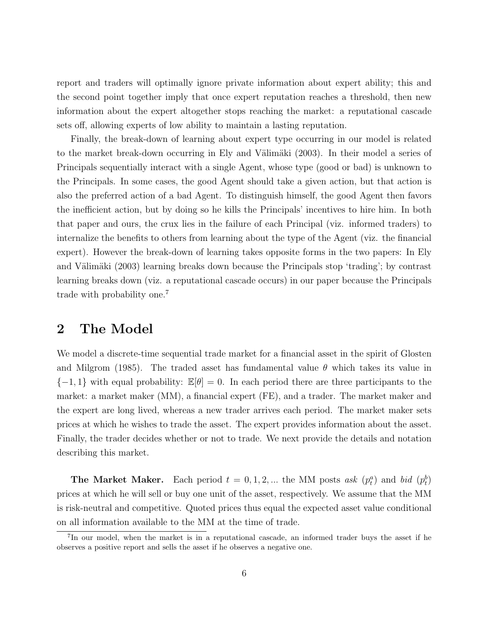report and traders will optimally ignore private information about expert ability; this and the second point together imply that once expert reputation reaches a threshold, then new information about the expert altogether stops reaching the market: a reputational cascade sets off, allowing experts of low ability to maintain a lasting reputation.

Finally, the break-down of learning about expert type occurring in our model is related to the market break-down occurring in Ely and Välimäki (2003). In their model a series of Principals sequentially interact with a single Agent, whose type (good or bad) is unknown to the Principals. In some cases, the good Agent should take a given action, but that action is also the preferred action of a bad Agent. To distinguish himself, the good Agent then favors the inefficient action, but by doing so he kills the Principals' incentives to hire him. In both that paper and ours, the crux lies in the failure of each Principal (viz. informed traders) to internalize the benefits to others from learning about the type of the Agent (viz. the financial expert). However the break-down of learning takes opposite forms in the two papers: In Ely and Välimäki (2003) learning breaks down because the Principals stop 'trading'; by contrast learning breaks down (viz. a reputational cascade occurs) in our paper because the Principals trade with probability one.<sup>7</sup>

### 2 The Model

We model a discrete-time sequential trade market for a financial asset in the spirit of Glosten and Milgrom (1985). The traded asset has fundamental value  $\theta$  which takes its value in  ${-1, 1}$  with equal probability:  $\mathbb{E}[\theta] = 0$ . In each period there are three participants to the market: a market maker (MM), a financial expert (FE), and a trader. The market maker and the expert are long lived, whereas a new trader arrives each period. The market maker sets prices at which he wishes to trade the asset. The expert provides information about the asset. Finally, the trader decides whether or not to trade. We next provide the details and notation describing this market.

**The Market Maker.** Each period  $t = 0, 1, 2, ...$  the MM posts ask  $(p_t^a)$  and bid  $(p_t^b)$ prices at which he will sell or buy one unit of the asset, respectively. We assume that the MM is risk-neutral and competitive. Quoted prices thus equal the expected asset value conditional on all information available to the MM at the time of trade.

<sup>&</sup>lt;sup>7</sup>In our model, when the market is in a reputational cascade, an informed trader buys the asset if he observes a positive report and sells the asset if he observes a negative one.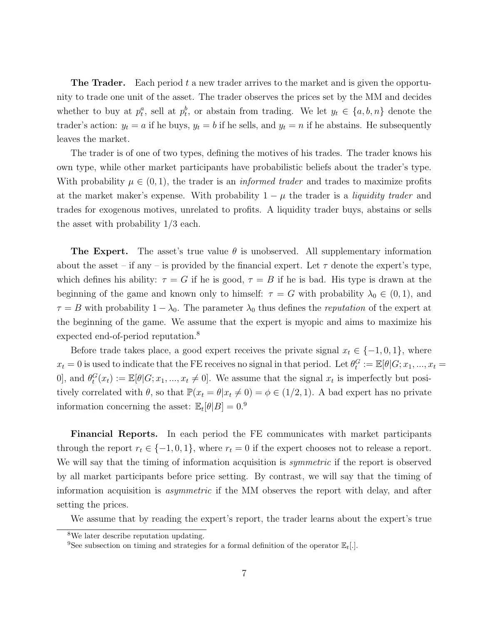**The Trader.** Each period t a new trader arrives to the market and is given the opportunity to trade one unit of the asset. The trader observes the prices set by the MM and decides whether to buy at  $p_t^a$ , sell at  $p_t^b$ , or abstain from trading. We let  $y_t \in \{a, b, n\}$  denote the trader's action:  $y_t = a$  if he buys,  $y_t = b$  if he sells, and  $y_t = n$  if he abstains. He subsequently leaves the market.

The trader is of one of two types, defining the motives of his trades. The trader knows his own type, while other market participants have probabilistic beliefs about the trader's type. With probability  $\mu \in (0, 1)$ , the trader is an *informed trader* and trades to maximize profits at the market maker's expense. With probability  $1 - \mu$  the trader is a *liquidity trader* and trades for exogenous motives, unrelated to profits. A liquidity trader buys, abstains or sells the asset with probability 1/3 each.

**The Expert.** The asset's true value  $\theta$  is unobserved. All supplementary information about the asset – if any – is provided by the financial expert. Let  $\tau$  denote the expert's type, which defines his ability:  $\tau = G$  if he is good,  $\tau = B$  if he is bad. His type is drawn at the beginning of the game and known only to himself:  $\tau = G$  with probability  $\lambda_0 \in (0,1)$ , and  $\tau = B$  with probability  $1 - \lambda_0$ . The parameter  $\lambda_0$  thus defines the *reputation* of the expert at the beginning of the game. We assume that the expert is myopic and aims to maximize his expected end-of-period reputation.<sup>8</sup>

Before trade takes place, a good expert receives the private signal  $x_t \in \{-1, 0, 1\}$ , where  $x_t = 0$  is used to indicate that the FE receives no signal in that period. Let  $\theta_t^G := \mathbb{E}[\theta|G; x_1, ..., x_t =$ 0], and  $\theta_t^G(x_t) := \mathbb{E}[\theta|G; x_1, ..., x_t \neq 0]$ . We assume that the signal  $x_t$  is imperfectly but positively correlated with  $\theta$ , so that  $\mathbb{P}(x_t = \theta | x_t \neq 0) = \phi \in (1/2, 1)$ . A bad expert has no private information concerning the asset:  $\mathbb{E}_t[\theta|B] = 0$ .<sup>9</sup>

Financial Reports. In each period the FE communicates with market participants through the report  $r_t \in \{-1, 0, 1\}$ , where  $r_t = 0$  if the expert chooses not to release a report. We will say that the timing of information acquisition is *symmetric* if the report is observed by all market participants before price setting. By contrast, we will say that the timing of information acquisition is *asymmetric* if the MM observes the report with delay, and after setting the prices.

We assume that by reading the expert's report, the trader learns about the expert's true

<sup>8</sup>We later describe reputation updating.

<sup>&</sup>lt;sup>9</sup>See subsection on timing and strategies for a formal definition of the operator  $\mathbb{E}_{t}[.]$ .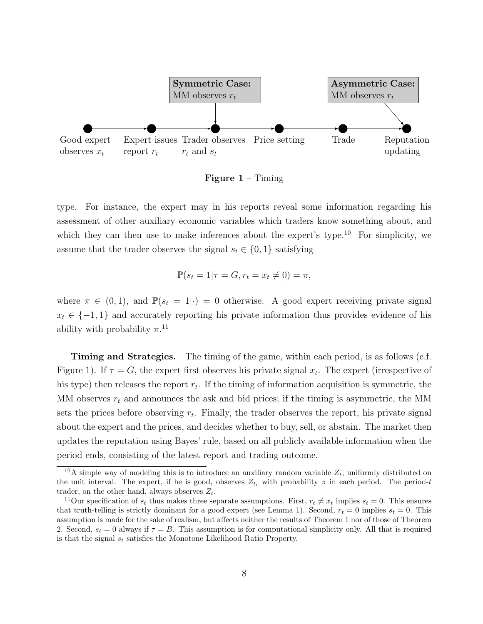

**Figure 1** – Timing

type. For instance, the expert may in his reports reveal some information regarding his assessment of other auxiliary economic variables which traders know something about, and which they can then use to make inferences about the expert's type.<sup>10</sup> For simplicity, we assume that the trader observes the signal  $s_t \in \{0, 1\}$  satisfying

$$
\mathbb{P}(s_t = 1 | \tau = G, r_t = x_t \neq 0) = \pi,
$$

where  $\pi \in (0,1)$ , and  $\mathbb{P}(s_t = 1|\cdot) = 0$  otherwise. A good expert receiving private signal  $x_t \in \{-1,1\}$  and accurately reporting his private information thus provides evidence of his ability with probability  $\pi$ <sup>11</sup>

Timing and Strategies. The timing of the game, within each period, is as follows (c.f. Figure 1). If  $\tau = G$ , the expert first observes his private signal  $x_t$ . The expert (irrespective of his type) then releases the report  $r_t$ . If the timing of information acquisition is symmetric, the MM observes  $r_t$  and announces the ask and bid prices; if the timing is asymmetric, the MM sets the prices before observing  $r_t$ . Finally, the trader observes the report, his private signal about the expert and the prices, and decides whether to buy, sell, or abstain. The market then updates the reputation using Bayes' rule, based on all publicly available information when the period ends, consisting of the latest report and trading outcome.

<sup>&</sup>lt;sup>10</sup>A simple way of modeling this is to introduce an auxiliary random variable  $Z_t$ , uniformly distributed on the unit interval. The expert, if he is good, observes  $Z_{t_t}$  with probability  $\pi$  in each period. The period-t trader, on the other hand, always observes  $Z_t$ .

<sup>&</sup>lt;sup>11</sup>Our specification of  $s_t$  thus makes three separate assumptions. First,  $r_t \neq x_t$  implies  $s_t = 0$ . This ensures that truth-telling is strictly dominant for a good expert (see Lemma 1). Second,  $r_t = 0$  implies  $s_t = 0$ . This assumption is made for the sake of realism, but affects neither the results of Theorem 1 nor of those of Theorem 2. Second,  $s_t = 0$  always if  $\tau = B$ . This assumption is for computational simplicity only. All that is required is that the signal  $s_t$  satisfies the Monotone Likelihood Ratio Property.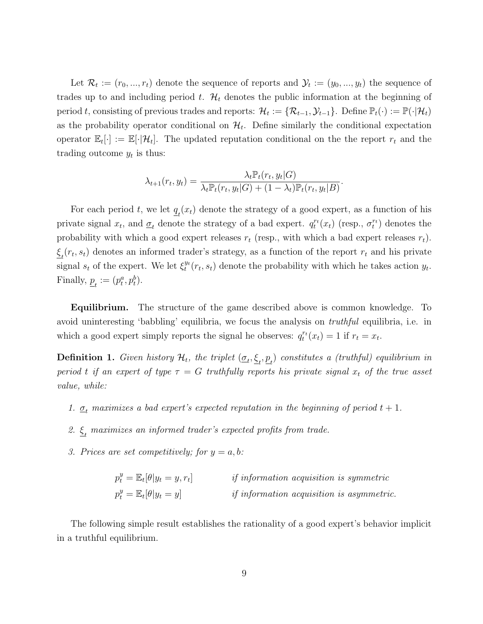Let  $\mathcal{R}_t := (r_0, ..., r_t)$  denote the sequence of reports and  $\mathcal{Y}_t := (y_0, ..., y_t)$  the sequence of trades up to and including period t.  $\mathcal{H}_t$  denotes the public information at the beginning of period t, consisting of previous trades and reports:  $\mathcal{H}_t := \{ \mathcal{R}_{t-1}, \mathcal{Y}_{t-1} \}$ . Define  $\mathbb{P}_t(\cdot) := \mathbb{P}(\cdot | \mathcal{H}_t)$ as the probability operator conditional on  $\mathcal{H}_t$ . Define similarly the conditional expectation operator  $\mathbb{E}_t[\cdot] := \mathbb{E}[\cdot | \mathcal{H}_t].$  The updated reputation conditional on the the report  $r_t$  and the trading outcome  $y_t$  is thus:

$$
\lambda_{t+1}(r_t, y_t) = \frac{\lambda_t \mathbb{P}_t(r_t, y_t|G)}{\lambda_t \mathbb{P}_t(r_t, y_t|G) + (1 - \lambda_t) \mathbb{P}_t(r_t, y_t|B)}.
$$

For each period t, we let  $\underline{q}_t(x_t)$  denote the strategy of a good expert, as a function of his private signal  $x_t$ , and  $\underline{\sigma}_t$  denote the strategy of a bad expert.  $q_t^{r_t}(x_t)$  (resp.,  $\sigma_t^{r_t}$ ) denotes the probability with which a good expert releases  $r_t$  (resp., with which a bad expert releases  $r_t$ ).  $\underline{\xi}_t(r_t, s_t)$  denotes an informed trader's strategy, as a function of the report  $r_t$  and his private signal  $s_t$  of the expert. We let  $\xi_t^{y_t}$  $t^{y_t}(r_t, s_t)$  denote the probability with which he takes action  $y_t$ . Finally,  $\underline{p}_t := (p_t^a, p_t^b)$ .

Equilibrium. The structure of the game described above is common knowledge. To avoid uninteresting 'babbling' equilibria, we focus the analysis on truthful equilibria, i.e. in which a good expert simply reports the signal he observes:  $q_t^{r_t}(x_t) = 1$  if  $r_t = x_t$ .

**Definition 1.** Given history  $\mathcal{H}_t$ , the triplet  $(\underline{\sigma}_t, \underline{\xi}_t, \underline{p}_t)$  constitutes a (truthful) equilibrium in period t if an expert of type  $\tau = G$  truthfully reports his private signal  $x_t$  of the true asset value, while:

- 1.  $\underline{\sigma}_t$  maximizes a bad expert's expected reputation in the beginning of period  $t + 1$ .
- 2.  $\underline{\xi}_t$  maximizes an informed trader's expected profits from trade.
- 3. Prices are set competitively; for  $y = a, b$ :

| $p_t^y = \mathbb{E}_t[\theta   y_t = y, r_t]$ | <i>if information acquisition is symmetric</i>   |  |  |
|-----------------------------------------------|--------------------------------------------------|--|--|
| $p_t^y = \mathbb{E}_t[\theta   y_t = y]$      | <i>if information acquisition is asymmetric.</i> |  |  |

The following simple result establishes the rationality of a good expert's behavior implicit in a truthful equilibrium.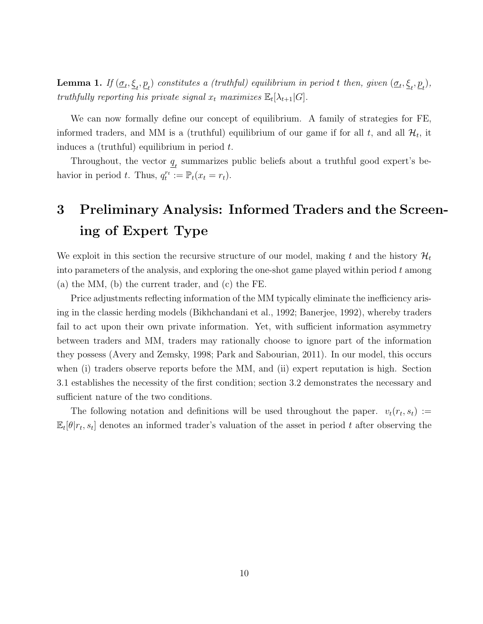**Lemma 1.** If  $(\underline{\sigma}_t, \underline{\xi}_t, \underline{p}_t)$  constitutes a (truthful) equilibrium in period t then, given  $(\underline{\sigma}_t, \underline{\xi}_t, \underline{p}_t)$ , truthfully reporting his private signal  $x_t$  maximizes  $\mathbb{E}_t[\lambda_{t+1}|G].$ 

We can now formally define our concept of equilibrium. A family of strategies for FE, informed traders, and MM is a (truthful) equilibrium of our game if for all  $t$ , and all  $\mathcal{H}_t$ , it induces a (truthful) equilibrium in period  $t$ .

Throughout, the vector  $\underline{q}_t$  summarizes public beliefs about a truthful good expert's behavior in period t. Thus,  $q_t^{r_t} := \mathbb{P}_t(x_t = r_t)$ .

## 3 Preliminary Analysis: Informed Traders and the Screening of Expert Type

We exploit in this section the recursive structure of our model, making t and the history  $\mathcal{H}_t$ into parameters of the analysis, and exploring the one-shot game played within period  $t$  among (a) the MM, (b) the current trader, and (c) the FE.

Price adjustments reflecting information of the MM typically eliminate the inefficiency arising in the classic herding models (Bikhchandani et al., 1992; Banerjee, 1992), whereby traders fail to act upon their own private information. Yet, with sufficient information asymmetry between traders and MM, traders may rationally choose to ignore part of the information they possess (Avery and Zemsky, 1998; Park and Sabourian, 2011). In our model, this occurs when (i) traders observe reports before the MM, and (ii) expert reputation is high. Section 3.1 establishes the necessity of the first condition; section 3.2 demonstrates the necessary and sufficient nature of the two conditions.

The following notation and definitions will be used throughout the paper.  $v_t(r_t, s_t) :=$  $\mathbb{E}_{t}[\theta|r_t, s_t]$  denotes an informed trader's valuation of the asset in period t after observing the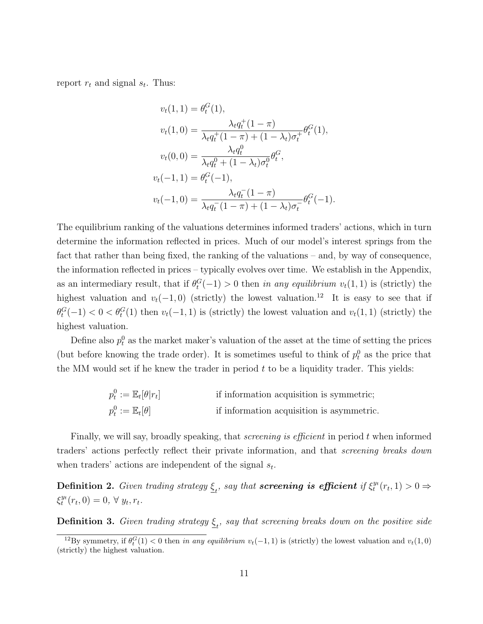report  $r_t$  and signal  $s_t$ . Thus:

$$
v_t(1,1) = \theta_t^G(1),
$$
  
\n
$$
v_t(1,0) = \frac{\lambda_t q_t^+(1-\pi)}{\lambda_t q_t^+(1-\pi) + (1-\lambda_t)\sigma_t^+} \theta_t^G(1),
$$
  
\n
$$
v_t(0,0) = \frac{\lambda_t q_t^0}{\lambda_t q_t^0 + (1-\lambda_t)\sigma_t^0} \theta_t^G,
$$
  
\n
$$
v_t(-1,1) = \theta_t^G(-1),
$$
  
\n
$$
v_t(-1,0) = \frac{\lambda_t q_t^-(1-\pi)}{\lambda_t q_t^-(1-\pi) + (1-\lambda_t)\sigma_t^+} \theta_t^G(-1).
$$

The equilibrium ranking of the valuations determines informed traders' actions, which in turn determine the information reflected in prices. Much of our model's interest springs from the fact that rather than being fixed, the ranking of the valuations – and, by way of consequence, the information reflected in prices – typically evolves over time. We establish in the Appendix, as an intermediary result, that if  $\theta_t^G(-1) > 0$  then in any equilibrium  $v_t(1, 1)$  is (strictly) the highest valuation and  $v_t(-1, 0)$  (strictly) the lowest valuation.<sup>12</sup> It is easy to see that if  $\theta_t^G(-1) < 0 < \theta_t^G(1)$  then  $v_t(-1, 1)$  is (strictly) the lowest valuation and  $v_t(1, 1)$  (strictly) the highest valuation.

Define also  $p_t^0$  as the market maker's valuation of the asset at the time of setting the prices (but before knowing the trade order). It is sometimes useful to think of  $p_t^0$  as the price that the MM would set if he knew the trader in period  $t$  to be a liquidity trader. This yields:

$$
p_t^0 := \mathbb{E}_t[\theta|r_t]
$$
 if information acquisition is symmetric;  

$$
p_t^0 := \mathbb{E}_t[\theta]
$$
 if information acquisition is asymmetric.

Finally, we will say, broadly speaking, that *screening is efficient* in period t when informed traders' actions perfectly reflect their private information, and that screening breaks down when traders' actions are independent of the signal  $s_t$ .

**Definition 2.** Given trading strategy  $\underline{\xi}_t$ , say that screening is efficient if  $\xi_t^{y_t}$  $t^{y_t}(r_t,1)>0 \Rightarrow$  $\xi_t^{y_t}$  $y_t^{y_t}(r_t, 0) = 0, \ \forall \ y_t, r_t.$ 

**Definition 3.** Given trading strategy  $\underline{\xi}_t$ , say that screening breaks down on the positive side

<sup>&</sup>lt;sup>12</sup>By symmetry, if  $\theta_t^G(1) < 0$  then in any equilibrium  $v_t(-1, 1)$  is (strictly) the lowest valuation and  $v_t(1, 0)$ (strictly) the highest valuation.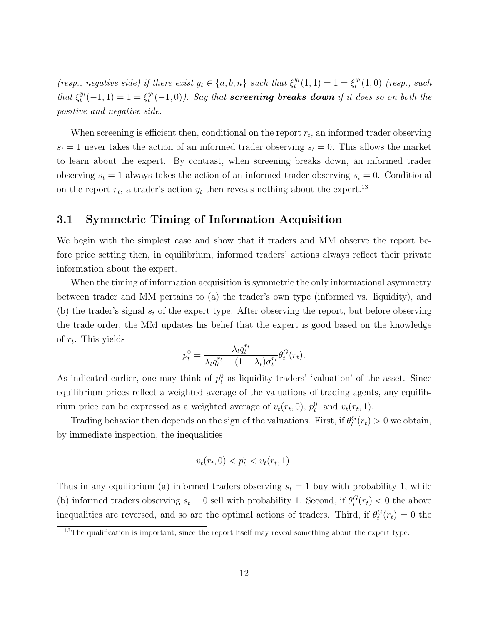(resp., negative side) if there exist  $y_t \in \{a, b, n\}$  such that  $\xi_t^{y_t}$  $t^{y_t}(1,1) = 1 = \xi_t^{y_t}$  $_{t}^{y_{t}}(1,0)$  (resp., such that  $\xi_t^{y_t}$  $t^{y_t}(-1, 1) = 1 = \xi_t^{y_t}$  $t_t^{y_t}(-1,0)$ ). Say that screening breaks down if it does so on both the positive and negative side.

When screening is efficient then, conditional on the report  $r_t$ , an informed trader observing  $s_t = 1$  never takes the action of an informed trader observing  $s_t = 0$ . This allows the market to learn about the expert. By contrast, when screening breaks down, an informed trader observing  $s_t = 1$  always takes the action of an informed trader observing  $s_t = 0$ . Conditional on the report  $r_t$ , a trader's action  $y_t$  then reveals nothing about the expert.<sup>13</sup>

#### 3.1 Symmetric Timing of Information Acquisition

We begin with the simplest case and show that if traders and MM observe the report before price setting then, in equilibrium, informed traders' actions always reflect their private information about the expert.

When the timing of information acquisition is symmetric the only informational asymmetry between trader and MM pertains to (a) the trader's own type (informed vs. liquidity), and (b) the trader's signal  $s_t$  of the expert type. After observing the report, but before observing the trade order, the MM updates his belief that the expert is good based on the knowledge of  $r_t$ . This yields

$$
p_t^0 = \frac{\lambda_t q_t^{r_t}}{\lambda_t q_t^{r_t} + (1 - \lambda_t) \sigma_t^{r_t}} \theta_t^G(r_t).
$$

As indicated earlier, one may think of  $p_t^0$  as liquidity traders' 'valuation' of the asset. Since equilibrium prices reflect a weighted average of the valuations of trading agents, any equilibrium price can be expressed as a weighted average of  $v_t(r_t, 0)$ ,  $p_t^0$ , and  $v_t(r_t, 1)$ .

Trading behavior then depends on the sign of the valuations. First, if  $\theta_t^G(r_t) > 0$  we obtain, by immediate inspection, the inequalities

$$
v_t(r_t, 0) < p_t^0 < v_t(r_t, 1).
$$

Thus in any equilibrium (a) informed traders observing  $s_t = 1$  buy with probability 1, while (b) informed traders observing  $s_t = 0$  sell with probability 1. Second, if  $\theta_t^G(r_t) < 0$  the above inequalities are reversed, and so are the optimal actions of traders. Third, if  $\theta_t^G(r_t) = 0$  the

 $13$ The qualification is important, since the report itself may reveal something about the expert type.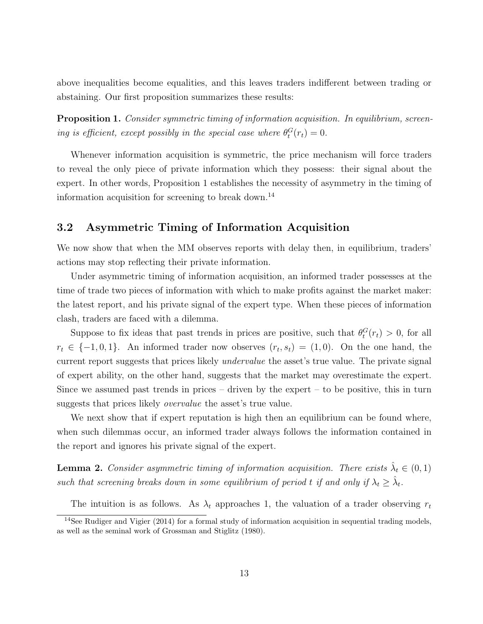above inequalities become equalities, and this leaves traders indifferent between trading or abstaining. Our first proposition summarizes these results:

**Proposition 1.** Consider symmetric timing of information acquisition. In equilibrium, screening is efficient, except possibly in the special case where  $\theta_t^G(r_t) = 0$ .

Whenever information acquisition is symmetric, the price mechanism will force traders to reveal the only piece of private information which they possess: their signal about the expert. In other words, Proposition 1 establishes the necessity of asymmetry in the timing of information acquisition for screening to break down.<sup>14</sup>

#### 3.2 Asymmetric Timing of Information Acquisition

We now show that when the MM observes reports with delay then, in equilibrium, traders' actions may stop reflecting their private information.

Under asymmetric timing of information acquisition, an informed trader possesses at the time of trade two pieces of information with which to make profits against the market maker: the latest report, and his private signal of the expert type. When these pieces of information clash, traders are faced with a dilemma.

Suppose to fix ideas that past trends in prices are positive, such that  $\theta_t^G(r_t) > 0$ , for all  $r_t \in \{-1,0,1\}$ . An informed trader now observes  $(r_t, s_t) = (1,0)$ . On the one hand, the current report suggests that prices likely *undervalue* the asset's true value. The private signal of expert ability, on the other hand, suggests that the market may overestimate the expert. Since we assumed past trends in prices – driven by the expert – to be positive, this in turn suggests that prices likely overvalue the asset's true value.

We next show that if expert reputation is high then an equilibrium can be found where, when such dilemmas occur, an informed trader always follows the information contained in the report and ignores his private signal of the expert.

**Lemma 2.** Consider asymmetric timing of information acquisition. There exists  $\hat{\lambda}_t \in (0,1)$ such that screening breaks down in some equilibrium of period t if and only if  $\lambda_t \geq \hat{\lambda}_t$ .

The intuition is as follows. As  $\lambda_t$  approaches 1, the valuation of a trader observing  $r_t$ 

 $14$ See Rudiger and Vigier (2014) for a formal study of information acquisition in sequential trading models. as well as the seminal work of Grossman and Stiglitz (1980).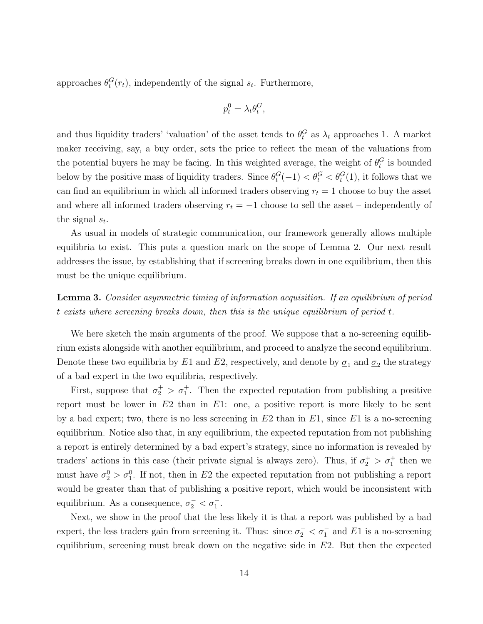approaches  $\theta_t^G(r_t)$ , independently of the signal  $s_t$ . Furthermore,

$$
p_t^0 = \lambda_t \theta_t^G,
$$

and thus liquidity traders' 'valuation' of the asset tends to  $\theta_t^G$  as  $\lambda_t$  approaches 1. A market maker receiving, say, a buy order, sets the price to reflect the mean of the valuations from the potential buyers he may be facing. In this weighted average, the weight of  $\theta_t^G$  is bounded below by the positive mass of liquidity traders. Since  $\theta_t^G(-1) < \theta_t^G < \theta_t^G(1)$ , it follows that we can find an equilibrium in which all informed traders observing  $r_t = 1$  choose to buy the asset and where all informed traders observing  $r_t = -1$  choose to sell the asset – independently of the signal  $s_t$ .

As usual in models of strategic communication, our framework generally allows multiple equilibria to exist. This puts a question mark on the scope of Lemma 2. Our next result addresses the issue, by establishing that if screening breaks down in one equilibrium, then this must be the unique equilibrium.

### Lemma 3. Consider asymmetric timing of information acquisition. If an equilibrium of period t exists where screening breaks down, then this is the unique equilibrium of period t.

We here sketch the main arguments of the proof. We suppose that a no-screening equilibrium exists alongside with another equilibrium, and proceed to analyze the second equilibrium. Denote these two equilibria by  $E1$  and  $E2$ , respectively, and denote by  $\underline{\sigma}_1$  and  $\underline{\sigma}_2$  the strategy of a bad expert in the two equilibria, respectively.

First, suppose that  $\sigma_2^+ > \sigma_1^+$ . Then the expected reputation from publishing a positive report must be lower in  $E2$  than in  $E1$ : one, a positive report is more likely to be sent by a bad expert; two, there is no less screening in  $E2$  than in  $E1$ , since  $E1$  is a no-screening equilibrium. Notice also that, in any equilibrium, the expected reputation from not publishing a report is entirely determined by a bad expert's strategy, since no information is revealed by traders' actions in this case (their private signal is always zero). Thus, if  $\sigma_2^+ > \sigma_1^+$  then we must have  $\sigma_2^0 > \sigma_1^0$ . If not, then in E2 the expected reputation from not publishing a report would be greater than that of publishing a positive report, which would be inconsistent with equilibrium. As a consequence,  $\sigma_2^- < \sigma_1^-$ .

Next, we show in the proof that the less likely it is that a report was published by a bad expert, the less traders gain from screening it. Thus: since  $\sigma_2^- < \sigma_1^-$  and E1 is a no-screening equilibrium, screening must break down on the negative side in  $E2$ . But then the expected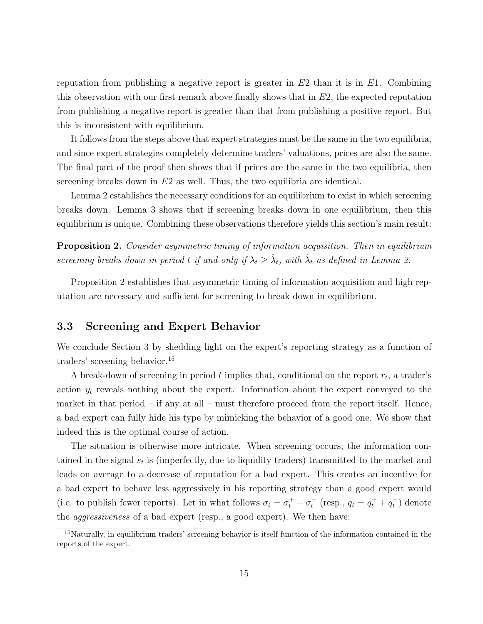reputation from publishing a negative report is greater in  $E2$  than it is in  $E1$ . Combining this observation with our first remark above finally shows that in  $E_2$ , the expected reputation from publishing a negative report is greater than that from publishing a positive report. But this is inconsistent with equilibrium.

It follows from the steps above that expert strategies must be the same in the two equilibria, and since expert strategies completely determine traders' valuations, prices are also the same. The final part of the proof then shows that if prices are the same in the two equilibria, then screening breaks down in E2 as well. Thus, the two equilibria are identical.

Lemma 2 establishes the necessary conditions for an equilibrium to exist in which screening breaks down. Lemma 3 shows that if screening breaks down in one equilibrium, then this equilibrium is unique. Combining these observations therefore yields this section's main result:

Proposition 2. Consider asymmetric timing of information acquisition. Then in equilibrium screening breaks down in period t if and only if  $\lambda_t \geq \hat{\lambda}_t$ , with  $\hat{\lambda}_t$  as defined in Lemma 2.

Proposition 2 establishes that asymmetric timing of information acquisition and high reputation are necessary and sufficient for screening to break down in equilibrium.

#### 3.3 Screening and Expert Behavior

We conclude Section 3 by shedding light on the expert's reporting strategy as a function of traders' screening behavior.<sup>15</sup>

A break-down of screening in period  $t$  implies that, conditional on the report  $r_t$ , a trader's action  $y_t$  reveals nothing about the expert. Information about the expert conveyed to the market in that period – if any at all – must therefore proceed from the report itself. Hence, a bad expert can fully hide his type by mimicking the behavior of a good one. We show that indeed this is the optimal course of action.

The situation is otherwise more intricate. When screening occurs, the information contained in the signal  $s_t$  is (imperfectly, due to liquidity traders) transmitted to the market and leads on average to a decrease of reputation for a bad expert. This creates an incentive for a bad expert to behave less aggressively in his reporting strategy than a good expert would (i.e. to publish fewer reports). Let in what follows  $\sigma_t = \sigma_t^+ + \sigma_t^-$  (resp.,  $q_t = q_t^+ + q_t^-$ ) denote the aggressiveness of a bad expert (resp., a good expert). We then have:

<sup>&</sup>lt;sup>15</sup>Naturally, in equilibrium traders' screening behavior is itself function of the information contained in the reports of the expert.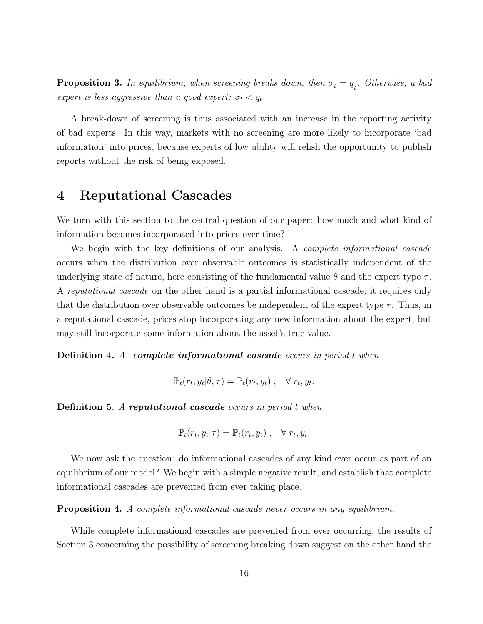**Proposition 3.** In equilibrium, when screening breaks down, then  $\underline{\sigma}_t = \underline{q}_t$ . Otherwise, a bad expert is less aggressive than a good expert:  $\sigma_t < q_t$ .

A break-down of screening is thus associated with an increase in the reporting activity of bad experts. In this way, markets with no screening are more likely to incorporate 'bad information' into prices, because experts of low ability will relish the opportunity to publish reports without the risk of being exposed.

## 4 Reputational Cascades

We turn with this section to the central question of our paper: how much and what kind of information becomes incorporated into prices over time?

We begin with the key definitions of our analysis. A *complete informational cascade* occurs when the distribution over observable outcomes is statistically independent of the underlying state of nature, here consisting of the fundamental value  $\theta$  and the expert type  $\tau$ . A reputational cascade on the other hand is a partial informational cascade; it requires only that the distribution over observable outcomes be independent of the expert type  $\tau$ . Thus, in a reputational cascade, prices stop incorporating any new information about the expert, but may still incorporate some information about the asset's true value.

Definition 4. A complete informational cascade occurs in period t when

$$
\mathbb{P}_t(r_t, y_t | \theta, \tau) = \mathbb{P}_t(r_t, y_t) , \quad \forall r_t, y_t.
$$

Definition 5. A reputational cascade occurs in period t when

$$
\mathbb{P}_t(r_t, y_t | \tau) = \mathbb{P}_t(r_t, y_t) , \quad \forall r_t, y_t.
$$

We now ask the question: do informational cascades of any kind ever occur as part of an equilibrium of our model? We begin with a simple negative result, and establish that complete informational cascades are prevented from ever taking place.

Proposition 4. A complete informational cascade never occurs in any equilibrium.

While complete informational cascades are prevented from ever occurring, the results of Section 3 concerning the possibility of screening breaking down suggest on the other hand the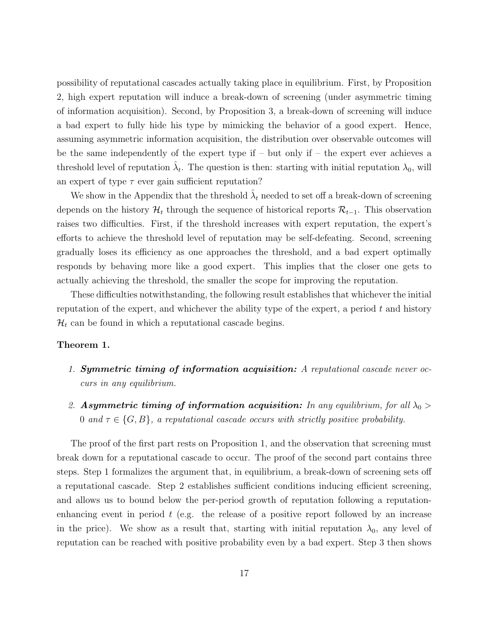possibility of reputational cascades actually taking place in equilibrium. First, by Proposition 2, high expert reputation will induce a break-down of screening (under asymmetric timing of information acquisition). Second, by Proposition 3, a break-down of screening will induce a bad expert to fully hide his type by mimicking the behavior of a good expert. Hence, assuming asymmetric information acquisition, the distribution over observable outcomes will be the same independently of the expert type if  $-$  but only if  $-$  the expert ever achieves a threshold level of reputation  $\hat{\lambda}_t$ . The question is then: starting with initial reputation  $\lambda_0$ , will an expert of type  $\tau$  ever gain sufficient reputation?

We show in the Appendix that the threshold  $\hat{\lambda}_t$  needed to set off a break-down of screening depends on the history  $\mathcal{H}_t$  through the sequence of historical reports  $\mathcal{R}_{t-1}$ . This observation raises two difficulties. First, if the threshold increases with expert reputation, the expert's efforts to achieve the threshold level of reputation may be self-defeating. Second, screening gradually loses its efficiency as one approaches the threshold, and a bad expert optimally responds by behaving more like a good expert. This implies that the closer one gets to actually achieving the threshold, the smaller the scope for improving the reputation.

These difficulties notwithstanding, the following result establishes that whichever the initial reputation of the expert, and whichever the ability type of the expert, a period  $t$  and history  $\mathcal{H}_t$  can be found in which a reputational cascade begins.

#### Theorem 1.

- 1. Symmetric timing of information acquisition: A reputational cascade never occurs in any equilibrium.
- 2. Asymmetric timing of information acquisition: In any equilibrium, for all  $\lambda_0$  > 0 and  $\tau \in \{G, B\}$ , a reputational cascade occurs with strictly positive probability.

The proof of the first part rests on Proposition 1, and the observation that screening must break down for a reputational cascade to occur. The proof of the second part contains three steps. Step 1 formalizes the argument that, in equilibrium, a break-down of screening sets off a reputational cascade. Step 2 establishes sufficient conditions inducing efficient screening, and allows us to bound below the per-period growth of reputation following a reputationenhancing event in period  $t$  (e.g. the release of a positive report followed by an increase in the price). We show as a result that, starting with initial reputation  $\lambda_0$ , any level of reputation can be reached with positive probability even by a bad expert. Step 3 then shows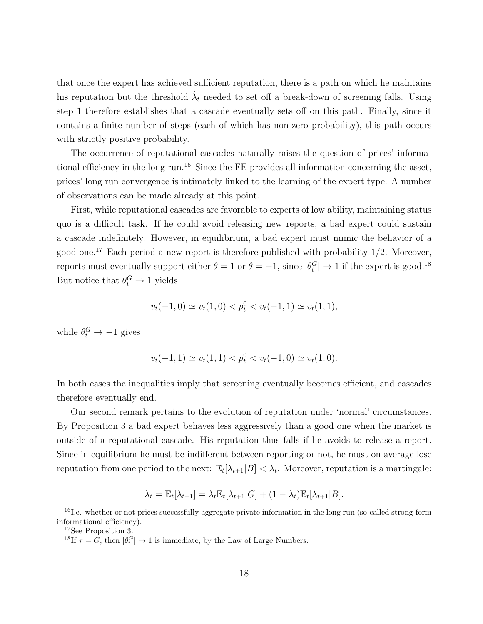that once the expert has achieved sufficient reputation, there is a path on which he maintains his reputation but the threshold  $\hat{\lambda}_t$  needed to set off a break-down of screening falls. Using step 1 therefore establishes that a cascade eventually sets off on this path. Finally, since it contains a finite number of steps (each of which has non-zero probability), this path occurs with strictly positive probability.

The occurrence of reputational cascades naturally raises the question of prices' informational efficiency in the long run.<sup>16</sup> Since the FE provides all information concerning the asset, prices' long run convergence is intimately linked to the learning of the expert type. A number of observations can be made already at this point.

First, while reputational cascades are favorable to experts of low ability, maintaining status quo is a difficult task. If he could avoid releasing new reports, a bad expert could sustain a cascade indefinitely. However, in equilibrium, a bad expert must mimic the behavior of a good one.<sup>17</sup> Each period a new report is therefore published with probability  $1/2$ . Moreover, reports must eventually support either  $\theta = 1$  or  $\theta = -1$ , since  $|\theta_t^G| \to 1$  if the expert is good.<sup>18</sup> But notice that  $\theta_t^G \to 1$  yields

$$
v_t(-1,0) \simeq v_t(1,0) < p_t^0 < v_t(-1,1) \simeq v_t(1,1),
$$

while  $\theta_t^G \to -1$  gives

$$
v_t(-1,1) \simeq v_t(1,1) < p_t^0 < v_t(-1,0) \simeq v_t(1,0).
$$

In both cases the inequalities imply that screening eventually becomes efficient, and cascades therefore eventually end.

Our second remark pertains to the evolution of reputation under 'normal' circumstances. By Proposition 3 a bad expert behaves less aggressively than a good one when the market is outside of a reputational cascade. His reputation thus falls if he avoids to release a report. Since in equilibrium he must be indifferent between reporting or not, he must on average lose reputation from one period to the next:  $\mathbb{E}_{t}[\lambda_{t+1}|B] < \lambda_{t}$ . Moreover, reputation is a martingale:

$$
\lambda_t = \mathbb{E}_t[\lambda_{t+1}] = \lambda_t \mathbb{E}_t[\lambda_{t+1}|G] + (1 - \lambda_t)\mathbb{E}_t[\lambda_{t+1}|B].
$$

<sup>&</sup>lt;sup>16</sup>I.e. whether or not prices successfully aggregate private information in the long run (so-called strong-form informational efficiency).

<sup>&</sup>lt;sup>17</sup>See Proposition 3.

<sup>&</sup>lt;sup>18</sup>If  $\tau = \tilde{G}$ , then  $|\theta_t^G| \to 1$  is immediate, by the Law of Large Numbers.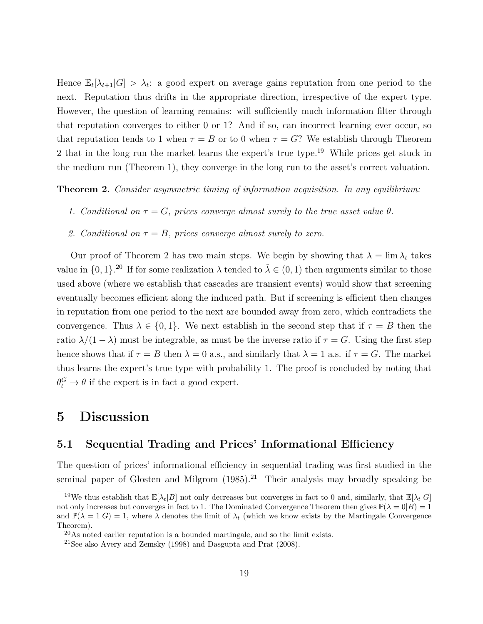Hence  $\mathbb{E}_{t}[\lambda_{t+1}|G] > \lambda_{t}$ : a good expert on average gains reputation from one period to the next. Reputation thus drifts in the appropriate direction, irrespective of the expert type. However, the question of learning remains: will sufficiently much information filter through that reputation converges to either 0 or 1? And if so, can incorrect learning ever occur, so that reputation tends to 1 when  $\tau = B$  or to 0 when  $\tau = G$ ? We establish through Theorem 2 that in the long run the market learns the expert's true type. <sup>19</sup> While prices get stuck in the medium run (Theorem 1), they converge in the long run to the asset's correct valuation.

**Theorem 2.** Consider asymmetric timing of information acquisition. In any equilibrium:

- 1. Conditional on  $\tau = G$ , prices converge almost surely to the true asset value  $\theta$ .
- 2. Conditional on  $\tau = B$ , prices converge almost surely to zero.

Our proof of Theorem 2 has two main steps. We begin by showing that  $\lambda = \lim_{\lambda} \lambda_t$  takes value in  $\{0,1\}$ .<sup>20</sup> If for some realization  $\lambda$  tended to  $\tilde{\lambda} \in (0,1)$  then arguments similar to those used above (where we establish that cascades are transient events) would show that screening eventually becomes efficient along the induced path. But if screening is efficient then changes in reputation from one period to the next are bounded away from zero, which contradicts the convergence. Thus  $\lambda \in \{0,1\}$ . We next establish in the second step that if  $\tau = B$  then the ratio  $\lambda/(1-\lambda)$  must be integrable, as must be the inverse ratio if  $\tau = G$ . Using the first step hence shows that if  $\tau = B$  then  $\lambda = 0$  a.s., and similarly that  $\lambda = 1$  a.s. if  $\tau = G$ . The market thus learns the expert's true type with probability 1. The proof is concluded by noting that  $\theta_t^G \to \theta$  if the expert is in fact a good expert.

## 5 Discussion

#### 5.1 Sequential Trading and Prices' Informational Efficiency

The question of prices' informational efficiency in sequential trading was first studied in the seminal paper of Glosten and Milgrom  $(1985)$ .<sup>21</sup> Their analysis may broadly speaking be

<sup>&</sup>lt;sup>19</sup>We thus establish that  $\mathbb{E}[\lambda_t|B]$  not only decreases but converges in fact to 0 and, similarly, that  $\mathbb{E}[\lambda_t|G]$ not only increases but converges in fact to 1. The Dominated Convergence Theorem then gives  $\mathbb{P}(\lambda = 0|B) = 1$ and  $\mathbb{P}(\lambda = 1|G) = 1$ , where  $\lambda$  denotes the limit of  $\lambda_t$  (which we know exists by the Martingale Convergence Theorem).

 $^{20}$ As noted earlier reputation is a bounded martingale, and so the limit exists.

 $21$ See also Avery and Zemsky (1998) and Dasgupta and Prat (2008).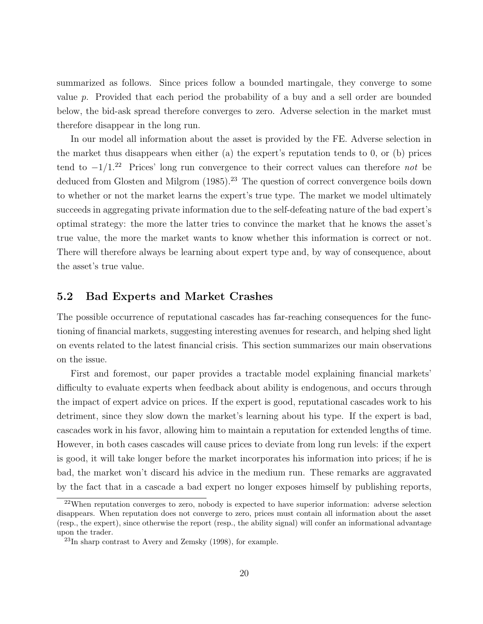summarized as follows. Since prices follow a bounded martingale, they converge to some value  $p$ . Provided that each period the probability of a buy and a sell order are bounded below, the bid-ask spread therefore converges to zero. Adverse selection in the market must therefore disappear in the long run.

In our model all information about the asset is provided by the FE. Adverse selection in the market thus disappears when either (a) the expert's reputation tends to 0, or (b) prices tend to  $-1/1.^{22}$  Prices' long run convergence to their correct values can therefore *not* be deduced from Glosten and Milgrom  $(1985)$ .<sup>23</sup> The question of correct convergence boils down to whether or not the market learns the expert's true type. The market we model ultimately succeeds in aggregating private information due to the self-defeating nature of the bad expert's optimal strategy: the more the latter tries to convince the market that he knows the asset's true value, the more the market wants to know whether this information is correct or not. There will therefore always be learning about expert type and, by way of consequence, about the asset's true value.

#### 5.2 Bad Experts and Market Crashes

The possible occurrence of reputational cascades has far-reaching consequences for the functioning of financial markets, suggesting interesting avenues for research, and helping shed light on events related to the latest financial crisis. This section summarizes our main observations on the issue.

First and foremost, our paper provides a tractable model explaining financial markets' difficulty to evaluate experts when feedback about ability is endogenous, and occurs through the impact of expert advice on prices. If the expert is good, reputational cascades work to his detriment, since they slow down the market's learning about his type. If the expert is bad, cascades work in his favor, allowing him to maintain a reputation for extended lengths of time. However, in both cases cascades will cause prices to deviate from long run levels: if the expert is good, it will take longer before the market incorporates his information into prices; if he is bad, the market won't discard his advice in the medium run. These remarks are aggravated by the fact that in a cascade a bad expert no longer exposes himself by publishing reports,

 $22$ When reputation converges to zero, nobody is expected to have superior information: adverse selection disappears. When reputation does not converge to zero, prices must contain all information about the asset (resp., the expert), since otherwise the report (resp., the ability signal) will confer an informational advantage upon the trader.

<sup>23</sup>In sharp contrast to Avery and Zemsky (1998), for example.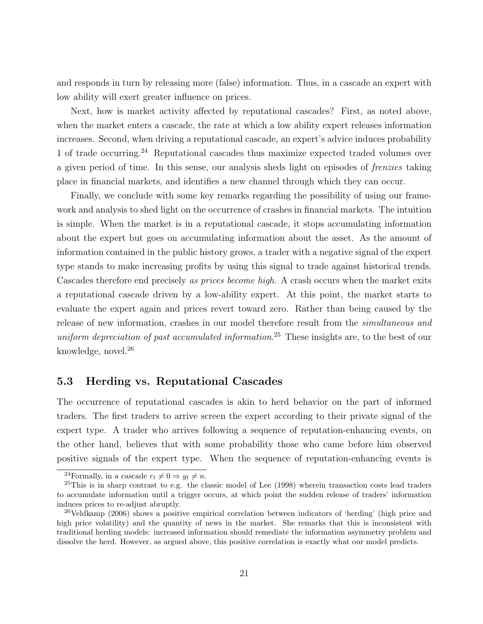and responds in turn by releasing more (false) information. Thus, in a cascade an expert with low ability will exert greater influence on prices.

Next, how is market activity affected by reputational cascades? First, as noted above, when the market enters a cascade, the rate at which a low ability expert releases information increases. Second, when driving a reputational cascade, an expert's advice induces probability 1 of trade occurring.<sup>24</sup> Reputational cascades thus maximize expected traded volumes over a given period of time. In this sense, our analysis sheds light on episodes of frenzies taking place in financial markets, and identifies a new channel through which they can occur.

Finally, we conclude with some key remarks regarding the possibility of using our framework and analysis to shed light on the occurrence of crashes in financial markets. The intuition is simple. When the market is in a reputational cascade, it stops accumulating information about the expert but goes on accumulating information about the asset. As the amount of information contained in the public history grows, a trader with a negative signal of the expert type stands to make increasing profits by using this signal to trade against historical trends. Cascades therefore end precisely as prices become high. A crash occurs when the market exits a reputational cascade driven by a low-ability expert. At this point, the market starts to evaluate the expert again and prices revert toward zero. Rather than being caused by the release of new information, crashes in our model therefore result from the simultaneous and uniform depreciation of past accumulated information.<sup>25</sup> These insights are, to the best of our knowledge, novel.<sup>26</sup>

#### 5.3 Herding vs. Reputational Cascades

The occurrence of reputational cascades is akin to herd behavior on the part of informed traders. The first traders to arrive screen the expert according to their private signal of the expert type. A trader who arrives following a sequence of reputation-enhancing events, on the other hand, believes that with some probability those who came before him observed positive signals of the expert type. When the sequence of reputation-enhancing events is

<sup>&</sup>lt;sup>24</sup>Formally, in a cascade  $r_t \neq 0 \Rightarrow y_t \neq n$ .

 $25$ This is in sharp contrast to e.g. the classic model of Lee (1998) wherein transaction costs lead traders to accumulate information until a trigger occurs, at which point the sudden release of traders' information induces prices to re-adjust abruptly.

<sup>&</sup>lt;sup>26</sup>Veldkamp (2006) shows a positive empirical correlation between indicators of 'herding' (high price and high price volatility) and the quantity of news in the market. She remarks that this is inconsistent with traditional herding models: increased information should remediate the information asymmetry problem and dissolve the herd. However, as argued above, this positive correlation is exactly what our model predicts.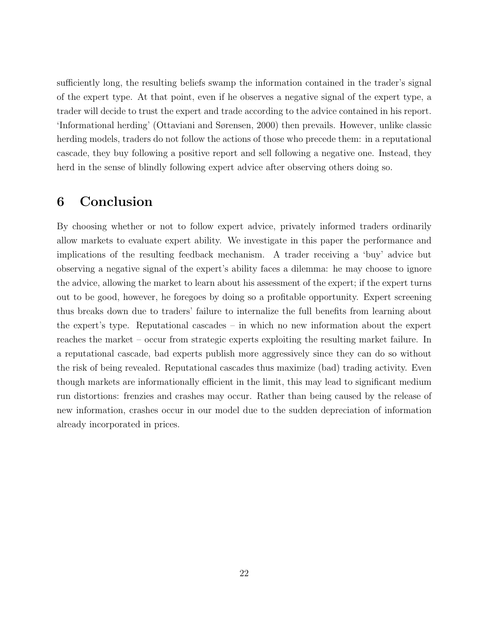sufficiently long, the resulting beliefs swamp the information contained in the trader's signal of the expert type. At that point, even if he observes a negative signal of the expert type, a trader will decide to trust the expert and trade according to the advice contained in his report. 'Informational herding' (Ottaviani and Sørensen, 2000) then prevails. However, unlike classic herding models, traders do not follow the actions of those who precede them: in a reputational cascade, they buy following a positive report and sell following a negative one. Instead, they herd in the sense of blindly following expert advice after observing others doing so.

## 6 Conclusion

By choosing whether or not to follow expert advice, privately informed traders ordinarily allow markets to evaluate expert ability. We investigate in this paper the performance and implications of the resulting feedback mechanism. A trader receiving a 'buy' advice but observing a negative signal of the expert's ability faces a dilemma: he may choose to ignore the advice, allowing the market to learn about his assessment of the expert; if the expert turns out to be good, however, he foregoes by doing so a profitable opportunity. Expert screening thus breaks down due to traders' failure to internalize the full benefits from learning about the expert's type. Reputational cascades – in which no new information about the expert reaches the market – occur from strategic experts exploiting the resulting market failure. In a reputational cascade, bad experts publish more aggressively since they can do so without the risk of being revealed. Reputational cascades thus maximize (bad) trading activity. Even though markets are informationally efficient in the limit, this may lead to significant medium run distortions: frenzies and crashes may occur. Rather than being caused by the release of new information, crashes occur in our model due to the sudden depreciation of information already incorporated in prices.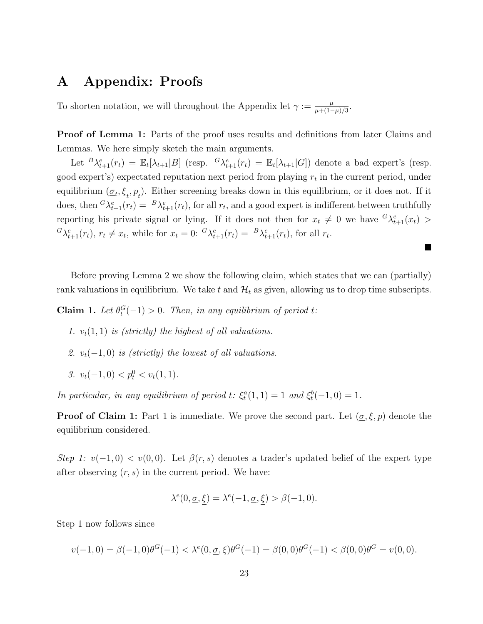## A Appendix: Proofs

To shorten notation, we will throughout the Appendix let  $\gamma := \frac{\mu}{\mu + (1-\mu)}$  $\frac{\mu}{\mu + (1-\mu)/3}$ .

Proof of Lemma 1: Parts of the proof uses results and definitions from later Claims and Lemmas. We here simply sketch the main arguments.

Let  ${}^B\lambda_{t+1}^e(r_t) = \mathbb{E}_t[\lambda_{t+1}|B]$  (resp.  ${}^G\lambda_{t+1}^e(r_t) = \mathbb{E}_t[\lambda_{t+1}|G]$ ) denote a bad expert's (resp. good expert's) expectated reputation next period from playing  $r_t$  in the current period, under equilibrium  $(\underline{\sigma}_t, \underline{\xi}_t, \underline{p}_t)$ . Either screening breaks down in this equilibrium, or it does not. If it does, then  ${}^G\lambda^e_{t+1}(r_t) = {}^B\lambda^e_{t+1}(r_t)$ , for all  $r_t$ , and a good expert is indifferent between truthfully reporting his private signal or lying. If it does not then for  $x_t \neq 0$  we have  ${}^G\lambda_{t+1}^e(x_t)$  ${}^{G}\lambda_{t+1}^{e}(r_t), r_t \neq x_t$ , while for  $x_t = 0$ :  ${}^{G}\lambda_{t+1}^{e}(r_t) = {}^{B}\lambda_{t+1}^{e}(r_t)$ , for all  $r_t$ .

Before proving Lemma 2 we show the following claim, which states that we can (partially) rank valuations in equilibrium. We take t and  $\mathcal{H}_t$  as given, allowing us to drop time subscripts.

 $\blacksquare$ 

**Claim 1.** Let  $\theta_t^G(-1) > 0$ . Then, in any equilibrium of period t:

- 1.  $v_t(1, 1)$  is (strictly) the highest of all valuations.
- 2.  $v_t(-1,0)$  is (strictly) the lowest of all valuations.
- 3.  $v_t(-1,0) < p_t^0 < v_t(1,1)$ .

In particular, in any equilibrium of period t:  $\xi_t^a(1,1) = 1$  and  $\xi_t^b(-1,0) = 1$ .

**Proof of Claim 1:** Part 1 is immediate. We prove the second part. Let  $(\underline{\sigma}, \xi, p)$  denote the equilibrium considered.

Step 1:  $v(-1,0) < v(0,0)$ . Let  $\beta(r,s)$  denotes a trader's updated belief of the expert type after observing  $(r, s)$  in the current period. We have:

$$
\lambda^{e}(0, \underline{\sigma}, \xi) = \lambda^{e}(-1, \underline{\sigma}, \xi) > \beta(-1, 0).
$$

Step 1 now follows since

$$
v(-1,0) = \beta(-1,0)\theta^G(-1) < \lambda^e(0,\underline{\sigma},\underline{\xi})\theta^G(-1) = \beta(0,0)\theta^G(-1) < \beta(0,0)\theta^G = v(0,0).
$$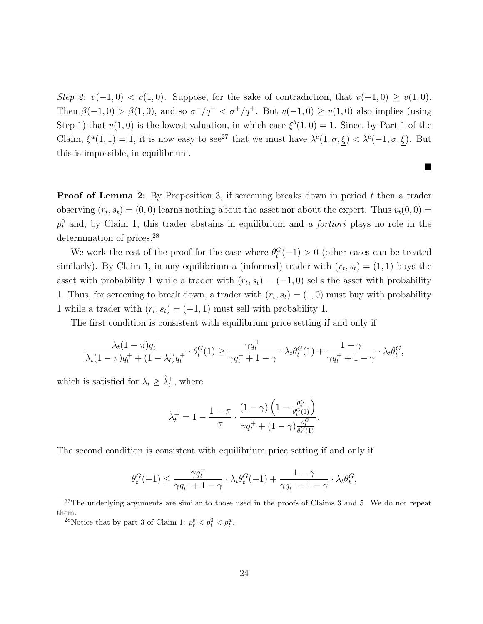Step 2:  $v(-1,0) < v(1,0)$ . Suppose, for the sake of contradiction, that  $v(-1,0) \ge v(1,0)$ . Then  $\beta(-1,0) > \beta(1,0)$ , and so  $\sigma^{-}/q^{-} < \sigma^{+}/q^{+}$ . But  $v(-1,0) \ge v(1,0)$  also implies (using Step 1) that  $v(1,0)$  is the lowest valuation, in which case  $\xi^{b}(1,0) = 1$ . Since, by Part 1 of the Claim,  $\xi^a(1,1) = 1$ , it is now easy to see<sup>27</sup> that we must have  $\lambda^e(1,\underline{\sigma},\xi) < \lambda^e(-1,\underline{\sigma},\xi)$ . But this is impossible, in equilibrium.

 $\blacksquare$ 

**Proof of Lemma 2:** By Proposition 3, if screening breaks down in period  $t$  then a trader observing  $(r_t, s_t) = (0, 0)$  learns nothing about the asset nor about the expert. Thus  $v_t(0, 0) =$  $p_t^0$  and, by Claim 1, this trader abstains in equilibrium and *a fortiori* plays no role in the determination of prices.<sup>28</sup>

We work the rest of the proof for the case where  $\theta_t^G(-1) > 0$  (other cases can be treated similarly). By Claim 1, in any equilibrium a (informed) trader with  $(r_t, s_t) = (1, 1)$  buys the asset with probability 1 while a trader with  $(r_t, s_t) = (-1, 0)$  sells the asset with probability 1. Thus, for screening to break down, a trader with  $(r_t, s_t) = (1, 0)$  must buy with probability 1 while a trader with  $(r_t, s_t) = (-1, 1)$  must sell with probability 1.

The first condition is consistent with equilibrium price setting if and only if

$$
\frac{\lambda_t(1-\pi)q_t^+}{\lambda_t(1-\pi)q_t^+ + (1-\lambda_t)q_t^+} \cdot \theta_t^G(1) \ge \frac{\gamma q_t^+}{\gamma q_t^+ + 1 - \gamma} \cdot \lambda_t \theta_t^G(1) + \frac{1-\gamma}{\gamma q_t^+ + 1 - \gamma} \cdot \lambda_t \theta_t^G,
$$

which is satisfied for  $\lambda_t \geq \hat{\lambda}_t^+$ , where

$$
\hat{\lambda}_t^+ = 1 - \frac{1-\pi}{\pi} \cdot \frac{(1-\gamma)\left(1 - \frac{\theta_t^G}{\theta_t^G(1)}\right)}{\gamma q_t^+ + (1-\gamma)\frac{\theta_t^G}{\theta_t^G(1)}}
$$

.

The second condition is consistent with equilibrium price setting if and only if

$$
\theta_t^G(-1) \leq \frac{\gamma q^-_t}{\gamma q^-_t + 1 - \gamma} \cdot \lambda_t \theta_t^G(-1) + \frac{1 - \gamma}{\gamma q^-_t + 1 - \gamma} \cdot \lambda_t \theta_t^G,
$$

 $27$ The underlying arguments are similar to those used in the proofs of Claims 3 and 5. We do not repeat them.

<sup>&</sup>lt;sup>28</sup>Notice that by part 3 of Claim 1:  $p_t^b < p_t^0 < p_t^a$ .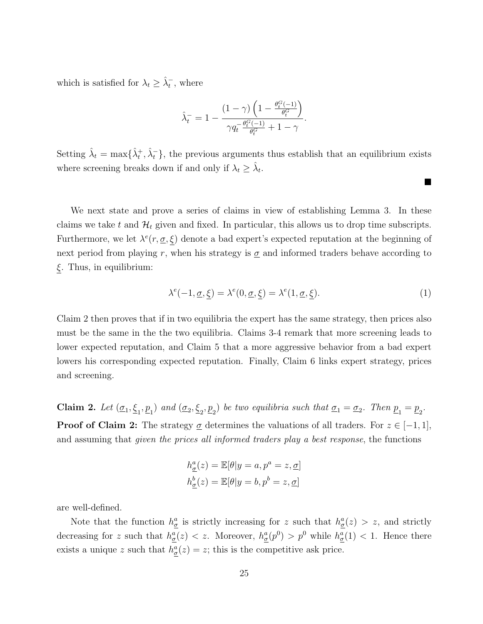which is satisfied for  $\lambda_t \geq \hat{\lambda}_t^-$ , where

$$
\hat{\lambda}_t^-=1-\frac{(1-\gamma)\left(1-\frac{\theta_t^G(-1)}{\theta_t^G}\right)}{\gamma q_t^{-\frac{\theta_t^G(-1)}{\theta_t^G}}+1-\gamma}.
$$

Setting  $\hat{\lambda}_t = \max\{\hat{\lambda}_t^+, \hat{\lambda}_t^-\}$ , the previous arguments thus establish that an equilibrium exists where screening breaks down if and only if  $\lambda_t \geq \hat{\lambda}_t$ .

We next state and prove a series of claims in view of establishing Lemma 3. In these claims we take t and  $\mathcal{H}_t$  given and fixed. In particular, this allows us to drop time subscripts. Furthermore, we let  $\lambda^e(r, \underline{\sigma}, \xi)$  denote a bad expert's expected reputation at the beginning of next period from playing r, when his strategy is  $\sigma$  and informed traders behave according to  $\xi$ . Thus, in equilibrium:

$$
\lambda^{e}(-1, \underline{\sigma}, \underline{\xi}) = \lambda^{e}(0, \underline{\sigma}, \underline{\xi}) = \lambda^{e}(1, \underline{\sigma}, \underline{\xi}).
$$
\n(1)

 $\blacksquare$ 

Claim 2 then proves that if in two equilibria the expert has the same strategy, then prices also must be the same in the the two equilibria. Claims 3-4 remark that more screening leads to lower expected reputation, and Claim 5 that a more aggressive behavior from a bad expert lowers his corresponding expected reputation. Finally, Claim 6 links expert strategy, prices and screening.

**Claim 2.** Let  $(\underline{\sigma}_1, \underline{\xi}_1, \underline{p}_1)$  and  $(\underline{\sigma}_2, \underline{\xi}_2, \underline{p}_2)$  be two equilibria such that  $\underline{\sigma}_1 = \underline{\sigma}_2$ . Then  $\underline{p}_1 = \underline{p}_2$ . **Proof of Claim 2:** The strategy  $\sigma$  determines the valuations of all traders. For  $z \in [-1,1]$ , and assuming that given the prices all informed traders play a best response, the functions

$$
h^a_{\underline{\sigma}}(z) = \mathbb{E}[\theta|y=a, p^a=z, \underline{\sigma}]
$$
  

$$
h^b_{\underline{\sigma}}(z) = \mathbb{E}[\theta|y=b, p^b=z, \underline{\sigma}]
$$

are well-defined.

Note that the function  $h_{\underline{\sigma}}^a$  is strictly increasing for z such that  $h_{\underline{\sigma}}^a(z) > z$ , and strictly decreasing for z such that  $h_{\underline{\sigma}}^a(z) < z$ . Moreover,  $h_{\underline{\sigma}}^a(p^0) > p^0$  while  $h_{\underline{\sigma}}^a(1) < 1$ . Hence there exists a unique z such that  $h_{\underline{\sigma}}^a(z) = z$ ; this is the competitive ask price.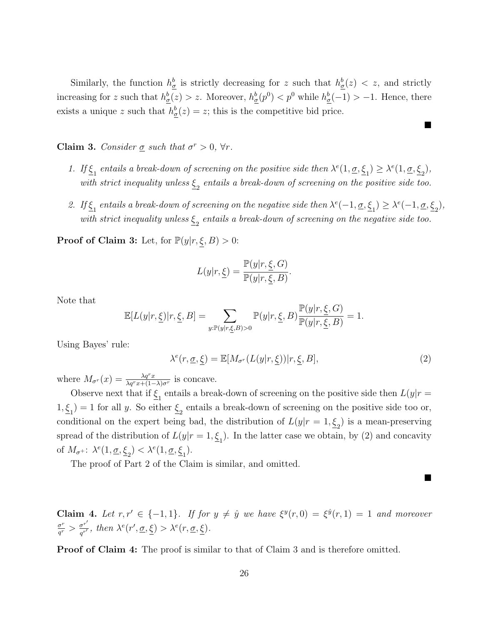Similarly, the function  $h^b_{\underline{\sigma}}$  is strictly decreasing for z such that  $h^b_{\underline{\sigma}}(z) < z$ , and strictly increasing for z such that  $h_{\underline{\sigma}}^b(z) > z$ . Moreover,  $h_{\underline{\sigma}}^b(p^0) < p^0$  while  $h_{\underline{\sigma}}^b(-1) > -1$ . Hence, there exists a unique z such that  $h_{\underline{\sigma}}^b(z) = z$ ; this is the competitive bid price.

Claim 3. Consider  $\sigma$  such that  $\sigma^r > 0$ ,  $\forall r$ .

- 1. If  $\underline{\xi}_1$  entails a break-down of screening on the positive side then  $\lambda^e(1, \underline{\sigma}, \underline{\xi}_1) \geq \lambda^e(1, \underline{\sigma}, \underline{\xi}_2)$ , with strict inequality unless  $\underline{\xi}_2$  entails a break-down of screening on the positive side too.
- 2. If  $\underline{\xi}_1$  entails a break-down of screening on the negative side then  $\lambda^e(-1, \underline{\sigma}, \underline{\xi}_1) \geq \lambda^e(-1, \underline{\sigma}, \underline{\xi}_2)$ , with strict inequality unless  $\underline{\xi}_2$  entails a break-down of screening on the negative side too.

**Proof of Claim 3:** Let, for  $\mathbb{P}(y|r, \xi, B) > 0$ :

$$
L(y|r, \underline{\xi}) = \frac{\mathbb{P}(y|r, \underline{\xi}, G)}{\mathbb{P}(y|r, \overline{\xi}, B)}.
$$

Note that

$$
\mathbb{E}[L(y|r,\underline{\xi})|r,\underline{\xi},B] = \sum_{y:\mathbb{P}(y|r,\underline{\xi},B)>0} \mathbb{P}(y|r,\underline{\xi},B) \frac{\mathbb{P}(y|r,\underline{\xi},G)}{\mathbb{P}(y|r,\underline{\xi},B)} = 1.
$$

Using Bayes' rule:

$$
\lambda^{e}(r, \underline{\sigma}, \underline{\xi}) = \mathbb{E}[M_{\sigma^{r}}(L(y|r, \underline{\xi}))|r, \underline{\xi}, B], \qquad (2)
$$

 $\blacksquare$ 

П

where  $M_{\sigma}(x) = \frac{\lambda q^r x}{\lambda q^r x + (1-\lambda)\sigma^r}$  is concave.

Observe next that if  $\underline{\xi}_1$  entails a break-down of screening on the positive side then  $L(y|r =$  $1, \underline{\xi}_1$  = 1 for all y. So either  $\underline{\xi}_2$  entails a break-down of screening on the positive side too or, conditional on the expert being bad, the distribution of  $L(y|r=1, \underline{\xi}_2)$  is a mean-preserving spread of the distribution of  $L(y|r=1, \underline{\xi}_1)$ . In the latter case we obtain, by (2) and concavity of  $M_{\sigma^+}$ :  $\lambda^e(1, \underline{\sigma}, \underline{\xi}_2) < \lambda^e(1, \underline{\sigma}, \underline{\xi}_1)$ .

The proof of Part 2 of the Claim is similar, and omitted.

**Claim 4.** Let  $r, r' \in \{-1, 1\}$ . If for  $y \neq \hat{y}$  we have  $\xi^y(r, 0) = \xi^{\hat{y}}(r, 1) = 1$  and moreover  $\sigma^r$  $\frac{\sigma^r}{q^r} > \frac{\sigma^{r'}}{q^{r'}}$  $\frac{\sigma^r}{q^{r'}}$ , then  $\lambda^e(r', \underline{\sigma}, \underline{\xi}) > \lambda^e(r, \underline{\sigma}, \underline{\xi})$ .

Proof of Claim 4: The proof is similar to that of Claim 3 and is therefore omitted.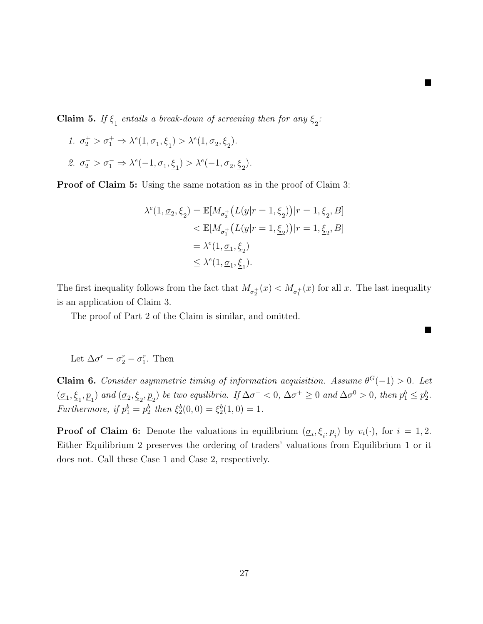**Claim 5.** If  $\underline{\xi}_1$  entails a break-down of screening then for any  $\underline{\xi}_2$ :

1. 
$$
\sigma_2^+ > \sigma_1^+ \Rightarrow \lambda^e(1, \underline{\sigma}_1, \underline{\xi}_1) > \lambda^e(1, \underline{\sigma}_2, \underline{\xi}_2).
$$
  
\n2.  $\sigma_2^- > \sigma_1^- \Rightarrow \lambda^e(-1, \underline{\sigma}_1, \underline{\xi}_1) > \lambda^e(-1, \underline{\sigma}_2, \underline{\xi}_2).$ 

**Proof of Claim 5:** Using the same notation as in the proof of Claim 3:

$$
\begin{aligned} \lambda^e(1,\underline{\sigma}_2,\underline{\xi}_2) &= \mathbb{E}[M_{\sigma_2^+}\big(L(y|r=1,\underline{\xi}_2)\big)|r=1,\underline{\xi}_2,B] \\ &< \mathbb{E}[M_{\sigma_1^+}\big(L(y|r=1,\underline{\xi}_2)\big)|r=1,\underline{\xi}_2,B] \\ &= \lambda^e(1,\underline{\sigma}_1,\underline{\xi}_2) \\ &\leq \lambda^e(1,\underline{\sigma}_1,\underline{\xi}_1). \end{aligned}
$$

■

 $\blacksquare$ 

The first inequality follows from the fact that  $M_{\sigma_2^+}(x) < M_{\sigma_1^+}(x)$  for all x. The last inequality is an application of Claim 3.

The proof of Part 2 of the Claim is similar, and omitted.

Let  $\Delta \sigma^r = \sigma_2^r - \sigma_1^r$ . Then

**Claim 6.** Consider asymmetric timing of information acquisition. Assume  $\theta^G(-1) > 0$ . Let  $(\underline{\sigma}_1, \underline{\xi}_1, \underline{p}_1)$  and  $(\underline{\sigma}_2, \underline{\xi}_2, \underline{p}_2)$  be two equilibria. If  $\Delta \sigma^- < 0$ ,  $\Delta \sigma^+ \ge 0$  and  $\Delta \sigma^0 > 0$ , then  $p_1^b \le p_2^b$ . Furthermore, if  $p_1^b = p_2^b$  then  $\xi_2^b(0,0) = \xi_2^b(1,0) = 1$ .

**Proof of Claim 6:** Denote the valuations in equilibrium  $(\underline{\sigma}_i, \underline{\xi}_i, \underline{p}_i)$  by  $v_i(\cdot)$ , for  $i = 1, 2$ . Either Equilibrium 2 preserves the ordering of traders' valuations from Equilibrium 1 or it does not. Call these Case 1 and Case 2, respectively.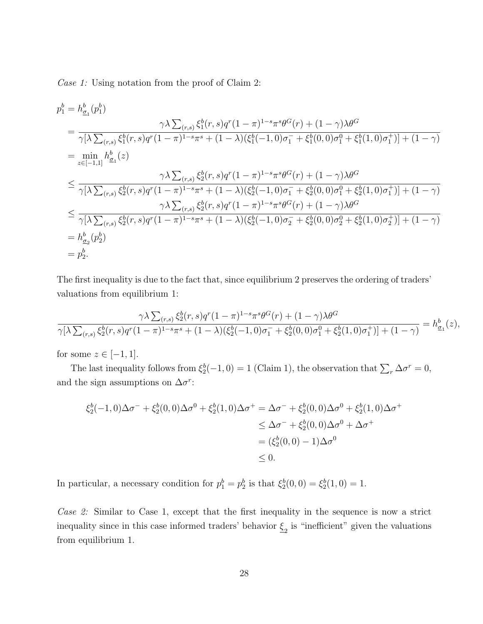Case 1: Using notation from the proof of Claim 2:

$$
p_1^b = h_{\underline{\sigma}_1}^b(p_1^b)
$$
  
\n
$$
= \frac{\gamma \lambda \sum_{(r,s)} \xi_1^b(r,s)q^r (1-\pi)^{1-s} \pi^s \theta^G(r) + (1-\gamma)\lambda \theta^G}{\gamma[\lambda \sum_{(r,s)} \xi_1^b(r,s)q^r (1-\pi)^{1-s} \pi^s + (1-\lambda)(\xi_1^b(-1,0)\sigma_1^- + \xi_1^b(0,0)\sigma_1^0 + \xi_1^b(1,0)\sigma_1^+)] + (1-\gamma)}
$$
  
\n
$$
= \min_{z \in [-1,1]} h_{\underline{\sigma}_1}^b(z)
$$
  
\n
$$
\leq \frac{\gamma \lambda \sum_{(r,s)} \xi_2^b(r,s)q^r (1-\pi)^{1-s} \pi^s \theta^G(r) + (1-\gamma)\lambda \theta^G}{\gamma[\lambda \sum_{(r,s)} \xi_2^b(r,s)q^r (1-\pi)^{1-s} \pi^s + (1-\lambda)(\xi_2^b(-1,0)\sigma_1^- + \xi_2^b(0,0)\sigma_1^0 + \xi_2^b(1,0)\sigma_1^+)] + (1-\gamma)}
$$
  
\n
$$
\leq \frac{\gamma \lambda \sum_{(r,s)} \xi_2^b(r,s)q^r (1-\pi)^{1-s} \pi^s \theta^G(r) + (1-\gamma)\lambda \theta^G}{\gamma[\lambda \sum_{(r,s)} \xi_2^b(r,s)q^r (1-\pi)^{1-s} \pi^s + (1-\lambda)(\xi_2^b(-1,0)\sigma_2^- + \xi_2^b(0,0)\sigma_2^0 + \xi_2^b(1,0)\sigma_2^+)] + (1-\gamma)}
$$
  
\n
$$
= h_{\underline{\sigma}_2}^b(p_2^b)
$$
  
\n
$$
= p_2^b.
$$

The first inequality is due to the fact that, since equilibrium 2 preserves the ordering of traders' valuations from equilibrium 1:

$$
\frac{\gamma \lambda \sum_{(r,s)} \xi_2^b(r,s) q^r (1-\pi)^{1-s} \pi^s \theta^G(r) + (1-\gamma) \lambda \theta^G}{\gamma [\lambda \sum_{(r,s)} \xi_2^b(r,s) q^r (1-\pi)^{1-s} \pi^s + (1-\lambda) (\xi_2^b(-1,0)\sigma_1^- + \xi_2^b(0,0)\sigma_1^0 + \xi_2^b(1,0)\sigma_1^+)] + (1-\gamma)} = h_{\underline{\sigma}_1}^b(z),
$$

for some  $z \in [-1, 1]$ .

The last inequality follows from  $\xi_2^b(-1,0) = 1$  (Claim 1), the observation that  $\sum_r \Delta \sigma^r = 0$ , and the sign assumptions on  $\Delta \sigma^r$ :

$$
\xi_2^b(-1,0)\Delta\sigma^- + \xi_2^b(0,0)\Delta\sigma^0 + \xi_2^b(1,0)\Delta\sigma^+ = \Delta\sigma^- + \xi_2^b(0,0)\Delta\sigma^0 + \xi_2^b(1,0)\Delta\sigma^+
$$
  
\n
$$
\leq \Delta\sigma^- + \xi_2^b(0,0)\Delta\sigma^0 + \Delta\sigma^+
$$
  
\n
$$
= (\xi_2^b(0,0) - 1)\Delta\sigma^0
$$
  
\n
$$
\leq 0.
$$

In particular, a necessary condition for  $p_1^b = p_2^b$  is that  $\xi_2^b(0,0) = \xi_2^b(1,0) = 1$ .

Case 2: Similar to Case 1, except that the first inequality in the sequence is now a strict inequality since in this case informed traders' behavior  $\underline{\xi}_2$  is "inefficient" given the valuations from equilibrium 1.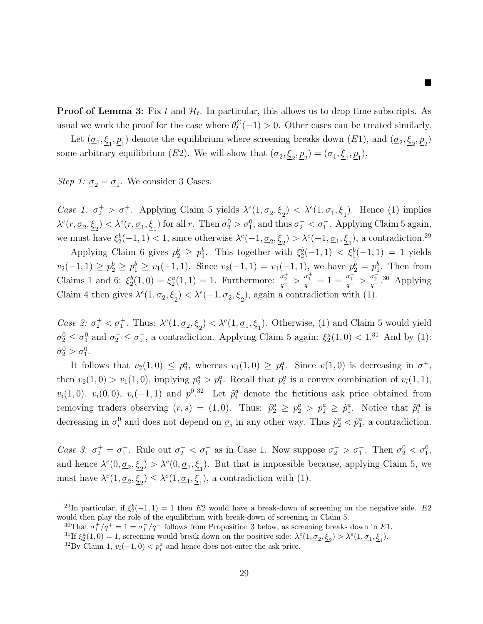**Proof of Lemma 3:** Fix t and  $\mathcal{H}_t$ . In particular, this allows us to drop time subscripts. As usual we work the proof for the case where  $\theta_t^G(-1) > 0$ . Other cases can be treated similarly.

 $\blacksquare$ 

Let  $(\underline{\sigma}_1, \underline{\xi}_1, \underline{p}_1)$  denote the equilibrium where screening breaks down  $(E1)$ , and  $(\underline{\sigma}_2, \underline{\xi}_2, \underline{p}_2)$ some arbitrary equilibrium (E2). We will show that  $(\underline{\sigma}_2, \underline{\xi}_2, \underline{p}_2) = (\underline{\sigma}_1, \underline{\xi}_1, \underline{p}_1)$ .

Step 1:  $\underline{\sigma}_2 = \underline{\sigma}_1$ . We consider 3 Cases.

Case 1:  $\sigma_2^+ > \sigma_1^+$ . Applying Claim 5 yields  $\lambda^e(1, \underline{\sigma}_2, \underline{\xi}_2) < \lambda^e(1, \underline{\sigma}_1, \underline{\xi}_1)$ . Hence (1) implies  $\lambda^e(r, \underline{\sigma}_2, \underline{\xi}_2) < \lambda^e(r, \underline{\sigma}_1, \underline{\xi}_1)$  for all r. Then  $\sigma_2^0 > \sigma_1^0$ , and thus  $\sigma_2^- < \sigma_1^-$ . Applying Claim 5 again, we must have  $\xi_2^b(-1,1) < 1$ , since otherwise  $\lambda^e(-1, \underline{\sigma}_2, \underline{\xi}_2) > \lambda^e(-1, \underline{\sigma}_1, \underline{\xi}_1)$ , a contradiction.<sup>29</sup>

Applying Claim 6 gives  $p_2^b \geq p_1^b$ . This together with  $\xi_2^b(-1,1) < \xi_1^b(-1,1) = 1$  yields  $v_2(-1,1) \ge p_2^b \ge p_1^b \ge v_1(-1,1)$ . Since  $v_2(-1,1) = v_1(-1,1)$ , we have  $p_2^b = p_1^b$ . Then from Claims 1 and 6:  $\xi_2^b(1,0) = \xi_2^a(1,1) = 1$ . Furthermore:  $\frac{\sigma_2^+}{q^+} > \frac{\sigma_1^+}{q^+} = 1 = \frac{\sigma_1^-}{q^-} > \frac{\sigma_2^-}{q^-}$ .<sup>30</sup> Applying Claim 4 then gives  $\lambda^e(1, \underline{\sigma}_2, \underline{\xi}_2) < \lambda^e(-1, \underline{\sigma}_2, \underline{\xi}_2)$ , again a contradiction with (1).

Case 2:  $\sigma_2^+ < \sigma_1^+$ . Thus:  $\lambda^e(1, \underline{\sigma}_2, \underline{\xi}_2) < \lambda^e(1, \underline{\sigma}_1, \underline{\xi}_1)$ . Otherwise, (1) and Claim 5 would yield  $\sigma_2^0 \leq \sigma_1^0$  and  $\sigma_2^- \leq \sigma_1^-$ , a contradiction. Applying Claim 5 again:  $\xi_2^a(1,0) < 1.31$  And by (1):  $\sigma_2^0 > \sigma_1^0$ .

It follows that  $v_2(1,0) \leq p_2^a$ , whereas  $v_1(1,0) \geq p_1^a$ . Since  $v(1,0)$  is decreasing in  $\sigma^+$ , then  $v_2(1,0) > v_1(1,0)$ , implying  $p_2^a > p_1^a$ . Recall that  $p_i^a$  is a convex combination of  $v_i(1,1)$ ,  $v_i(1,0)$ ,  $v_i(0,0)$ ,  $v_i(-1,1)$  and  $p^{0.32}$  Let  $\tilde{p}_i^a$  denote the fictitious ask price obtained from removing traders observing  $(r, s) = (1, 0)$ . Thus:  $\tilde{p}_2^a \ge p_2^a > p_1^a \ge \tilde{p}_1^a$ . Notice that  $\tilde{p}_i^a$  is decreasing in  $\sigma_i^0$  and does not depend on  $\underline{\sigma}_i$  in any other way. Thus  $\tilde{p}_2^a < \tilde{p}_1^a$ , a contradiction.

Case 3:  $\sigma_2^+ = \sigma_1^+$ . Rule out  $\sigma_2^- < \sigma_1^-$  as in Case 1. Now suppose  $\sigma_2^- > \sigma_1^-$ . Then  $\sigma_2^0 < \sigma_1^0$ , and hence  $\lambda^e(0, \underline{\sigma}_2, \underline{\xi}_2) > \lambda^e(0, \underline{\sigma}_1, \underline{\xi}_1)$ . But that is impossible because, applying Claim 5, we must have  $\lambda^e(1, \underline{\sigma}_2, \underline{\xi}_2) \leq \lambda^e(1, \underline{\sigma}_1, \underline{\xi}_1)$ , a contradiction with (1).

<sup>&</sup>lt;sup>29</sup>In particular, if  $\xi_2^b(-1,1) = 1$  then E2 would have a break-down of screening on the negative side. E2 would then play the role of the equilibrium with break-down of screening in Claim 5.

<sup>&</sup>lt;sup>30</sup>That  $\sigma_1^+/q^+ = 1 = \sigma_1^-/q^-$  follows from Proposition 3 below, as screening breaks down in E1.

<sup>&</sup>lt;sup>31</sup>If  $\xi_2^a(1,0) = 1$ , screening would break down on the positive side:  $\lambda^e(1,\underline{\sigma}_2,\underline{\xi}_2) > \lambda^e(1,\underline{\sigma}_1,\underline{\xi}_1)$ .

<sup>&</sup>lt;sup>32</sup>By Claim 1,  $v_i(-1,0) < p_i^a$  and hence does not enter the ask price.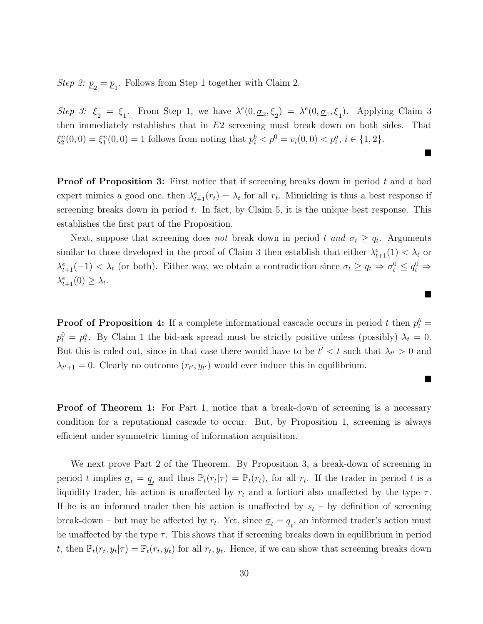Step 2:  $\underline{p}_2 = \underline{p}_1$ . Follows from Step 1 together with Claim 2.

Step 3:  $\underline{\xi}_2 = \underline{\xi}_1$ . From Step 1, we have  $\lambda^e(0, \underline{\sigma}_2, \underline{\xi}_2) = \lambda^e(0, \underline{\sigma}_1, \underline{\xi}_1)$ . Applying Claim 3 then immediately establishes that in E2 screening must break down on both sides. That  $\xi_2^n(0,0) = \xi_1^n(0,0) = 1$  follows from noting that  $p_i^b < p^0 = v_i(0,0) < p_i^a$ ,  $i \in \{1,2\}$ .

п

 $\blacksquare$ 

■

**Proof of Proposition 3:** First notice that if screening breaks down in period  $t$  and a bad expert mimics a good one, then  $\lambda_{t+1}^e(r_t) = \lambda_t$  for all  $r_t$ . Mimicking is thus a best response if screening breaks down in period  $t$ . In fact, by Claim 5, it is the unique best response. This establishes the first part of the Proposition.

Next, suppose that screening does *not* break down in period t and  $\sigma_t \geq q_t$ . Arguments similar to those developed in the proof of Claim 3 then establish that either  $\lambda_{t+1}^e(1) < \lambda_t$  or  $\lambda_{t+1}^{e}(-1) < \lambda_t$  (or both). Either way, we obtain a contradiction since  $\sigma_t \ge q_t \Rightarrow \sigma_t^0 \le q_t^0 \Rightarrow$  $\lambda_{t+1}^e(0) \geq \lambda_t.$ 

**Proof of Proposition 4:** If a complete informational cascade occurs in period t then  $p_t^b =$  $p_t^0 = p_t^a$ . By Claim 1 the bid-ask spread must be strictly positive unless (possibly)  $\lambda_t = 0$ . But this is ruled out, since in that case there would have to be  $t' < t$  such that  $\lambda_{t'} > 0$  and  $\lambda_{t'+1} = 0$ . Clearly no outcome  $(r_{t'}, y_{t'})$  would ever induce this in equilibrium.

**Proof of Theorem 1:** For Part 1, notice that a break-down of screening is a necessary condition for a reputational cascade to occur. But, by Proposition 1, screening is always efficient under symmetric timing of information acquisition.

We next prove Part 2 of the Theorem. By Proposition 3, a break-down of screening in period t implies  $\underline{\sigma}_t = \underline{q}_t$  and thus  $\mathbb{P}_t(r_t|\tau) = \mathbb{P}_t(r_t)$ , for all  $r_t$ . If the trader in period t is a liquidity trader, his action is unaffected by  $r_t$  and a fortiori also unaffected by the type  $\tau$ . If he is an informed trader then his action is unaffected by  $s_t$  – by definition of screening break-down – but may be affected by  $r_t$ . Yet, since  $\underline{\sigma}_t = \underline{q}_t$ , an informed trader's action must be unaffected by the type  $\tau$ . This shows that if screening breaks down in equilibrium in period t, then  $\mathbb{P}_t(r_t, y_t | \tau) = \mathbb{P}_t(r_t, y_t)$  for all  $r_t, y_t$ . Hence, if we can show that screening breaks down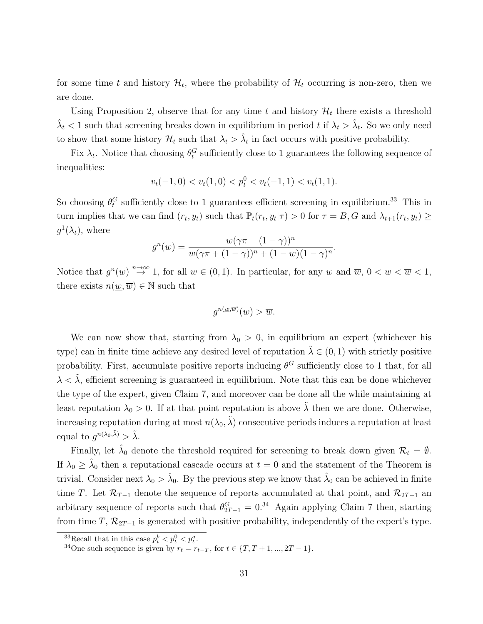for some time t and history  $\mathcal{H}_t$ , where the probability of  $\mathcal{H}_t$  occurring is non-zero, then we are done.

Using Proposition 2, observe that for any time t and history  $\mathcal{H}_t$  there exists a threshold  $\hat{\lambda}_t$  < 1 such that screening breaks down in equilibrium in period t if  $\lambda_t > \hat{\lambda}_t$ . So we only need to show that some history  $\mathcal{H}_t$  such that  $\lambda_t > \hat{\lambda}_t$  in fact occurs with positive probability.

Fix  $\lambda_t$ . Notice that choosing  $\theta_t^G$  sufficiently close to 1 guarantees the following sequence of inequalities:

$$
v_t(-1,0) < v_t(1,0) < p_t^0 < v_t(-1,1) < v_t(1,1).
$$

So choosing  $\theta_t^G$  sufficiently close to 1 guarantees efficient screening in equilibrium.<sup>33</sup> This in turn implies that we can find  $(r_t, y_t)$  such that  $\mathbb{P}_t(r_t, y_t | \tau) > 0$  for  $\tau = B, G$  and  $\lambda_{t+1}(r_t, y_t) \ge$  $g^1(\lambda_t)$ , where

$$
g^{n}(w) = \frac{w(\gamma \pi + (1 - \gamma))^{n}}{w(\gamma \pi + (1 - \gamma))^{n} + (1 - w)(1 - \gamma)^{n}}.
$$

Notice that  $g^{n}(w) \stackrel{n\to\infty}{\to} 1$ , for all  $w \in (0,1)$ . In particular, for any <u>w</u> and  $\overline{w}$ ,  $0 < \underline{w} < \overline{w} < 1$ , there exists  $n(w,\overline{w}) \in \mathbb{N}$  such that

$$
g^{n(\underline{w}, \overline{w})}(\underline{w}) > \overline{w}.
$$

We can now show that, starting from  $\lambda_0 > 0$ , in equilibrium an expert (whichever his type) can in finite time achieve any desired level of reputation  $\tilde{\lambda} \in (0, 1)$  with strictly positive probability. First, accumulate positive reports inducing  $\theta^G$  sufficiently close to 1 that, for all  $\lambda < \tilde{\lambda}$ , efficient screening is guaranteed in equilibrium. Note that this can be done whichever the type of the expert, given Claim 7, and moreover can be done all the while maintaining at least reputation  $\lambda_0 > 0$ . If at that point reputation is above  $\tilde{\lambda}$  then we are done. Otherwise, increasing reputation during at most  $n(\lambda_0, \tilde{\lambda})$  consecutive periods induces a reputation at least equal to  $g^{n(\lambda_0,\tilde{\lambda})} > \tilde{\lambda}$ .

Finally, let  $\hat{\lambda}_0$  denote the threshold required for screening to break down given  $\mathcal{R}_t = \emptyset$ . If  $\lambda_0 \geq \hat{\lambda}_0$  then a reputational cascade occurs at  $t = 0$  and the statement of the Theorem is trivial. Consider next  $\lambda_0 > \hat{\lambda}_0$ . By the previous step we know that  $\hat{\lambda}_0$  can be achieved in finite time T. Let  $\mathcal{R}_{T-1}$  denote the sequence of reports accumulated at that point, and  $\mathcal{R}_{2T-1}$  and arbitrary sequence of reports such that  $\theta_{2T-1}^G = 0.34$  Again applying Claim 7 then, starting from time T,  $\mathcal{R}_{2T-1}$  is generated with positive probability, independently of the expert's type.

<sup>&</sup>lt;sup>33</sup>Recall that in this case  $p_t^b < p_t^0 < p_t^a$ .

<sup>&</sup>lt;sup>34</sup>One such sequence is given by  $r_t = r_{t-T}$ , for  $t \in \{T, T + 1, ..., 2T - 1\}$ .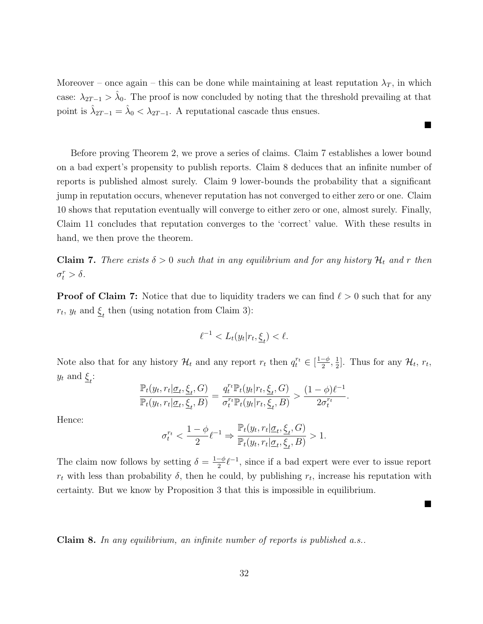Moreover – once again – this can be done while maintaining at least reputation  $\lambda_T$ , in which case:  $\lambda_{2T-1} > \hat{\lambda}_0$ . The proof is now concluded by noting that the threshold prevailing at that point is  $\hat{\lambda}_{2T-1} = \hat{\lambda}_0 < \lambda_{2T-1}$ . A reputational cascade thus ensues.

 $\blacksquare$ 

 $\blacksquare$ 

Before proving Theorem 2, we prove a series of claims. Claim 7 establishes a lower bound on a bad expert's propensity to publish reports. Claim 8 deduces that an infinite number of reports is published almost surely. Claim 9 lower-bounds the probability that a significant jump in reputation occurs, whenever reputation has not converged to either zero or one. Claim 10 shows that reputation eventually will converge to either zero or one, almost surely. Finally, Claim 11 concludes that reputation converges to the 'correct' value. With these results in hand, we then prove the theorem.

**Claim 7.** There exists  $\delta > 0$  such that in any equilibrium and for any history  $\mathcal{H}_t$  and r then  $\sigma_t^r > \delta$ .

**Proof of Claim 7:** Notice that due to liquidity traders we can find  $\ell > 0$  such that for any  $r_t$ ,  $y_t$  and  $\underline{\xi}_t$  then (using notation from Claim 3):

$$
\ell^{-1} < L_t(y_t | r_t, \underline{\xi}_t) < \ell.
$$

Note also that for any history  $\mathcal{H}_t$  and any report  $r_t$  then  $q_t^{r_t} \in \left[\frac{1-\phi}{2}\right]$  $\frac{-\phi}{2}, \frac{1}{2}$  $\frac{1}{2}$ . Thus for any  $\mathcal{H}_t$ ,  $r_t$ ,  $y_t$  and  $\underline{\xi}_t$ :

$$
\frac{\mathbb{P}_t(y_t,r_t|\underline{\sigma}_t,\underline{\xi}_t,G)}{\mathbb{P}_t(y_t,r_t|\underline{\sigma}_t,\underline{\xi}_t,B)}=\frac{q_t^{r_t}\mathbb{P}_t(y_t|r_t,\underline{\xi}_t,G)}{\sigma_t^{r_t}\mathbb{P}_t(y_t|r_t,\underline{\xi}_t,B)}>\frac{(1-\phi)\ell^{-1}}{2\sigma_t^{r_t}}.
$$

Hence:

$$
\sigma^{r_t}_t<\frac{1-\phi}{2}\ell^{-1}\Rightarrow\frac{\mathbb{P}_t(y_t,r_t|\underline{\sigma}_t,\underline{\xi}_t,G)}{\mathbb{P}_t(y_t,r_t|\underline{\sigma}_t,\underline{\xi}_t,B)}>1.
$$

The claim now follows by setting  $\delta = \frac{1-\phi}{2}$  $\frac{-\phi}{2}$  $\ell^{-1}$ , since if a bad expert were ever to issue report  $r_t$  with less than probability  $\delta$ , then he could, by publishing  $r_t$ , increase his reputation with certainty. But we know by Proposition 3 that this is impossible in equilibrium.

**Claim 8.** In any equilibrium, an infinite number of reports is published a.s..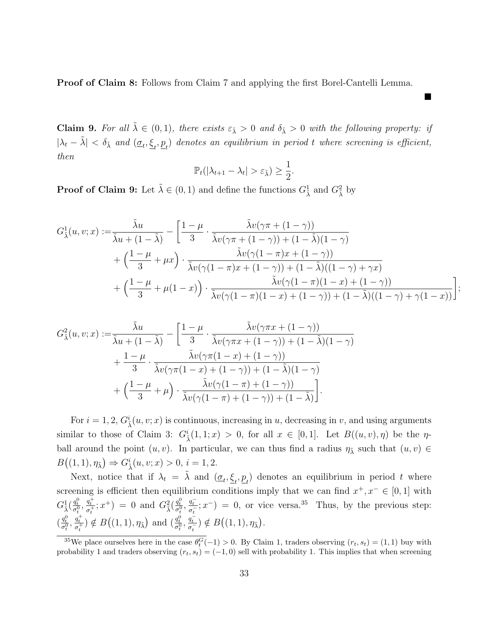Proof of Claim 8: Follows from Claim 7 and applying the first Borel-Cantelli Lemma.

**Claim 9.** For all  $\tilde{\lambda} \in (0,1)$ , there exists  $\varepsilon_{\tilde{\lambda}} > 0$  and  $\delta_{\tilde{\lambda}} > 0$  with the following property: if  $|\lambda_t - \tilde{\lambda}| < \delta_{\tilde{\lambda}}$  and  $(\underline{\sigma}_t, \underline{\xi}_t, \underline{p}_t)$  denotes an equilibrium in period t where screening is efficient, then

 $\blacksquare$ 

;

$$
\mathbb{P}_t(|\lambda_{t+1} - \lambda_t| > \varepsilon_{\tilde{\lambda}}) \geq \frac{1}{2}.
$$

**Proof of Claim 9:** Let  $\tilde{\lambda} \in (0, 1)$  and define the functions  $G_{\tilde{\lambda}}^1$  and  $G_{\tilde{\lambda}}^2$  by

$$
G_{\tilde{\lambda}}^1(u,v;x) := \frac{\tilde{\lambda}u}{\tilde{\lambda}u + (1-\tilde{\lambda})} - \left[ \frac{1-\mu}{3} \cdot \frac{\tilde{\lambda}v(\gamma\pi + (1-\gamma))}{\tilde{\lambda}v(\gamma\pi + (1-\gamma)) + (1-\tilde{\lambda})(1-\gamma)} + \left( \frac{1-\mu}{3} + \mu x \right) \cdot \frac{\tilde{\lambda}v(\gamma(1-\pi)x + (1-\gamma))}{\tilde{\lambda}v(\gamma(1-\pi)x + (1-\gamma)) + (1-\tilde{\lambda})(1-\gamma) + \gamma x)} + \left( \frac{1-\mu}{3} + \mu(1-x) \right) \cdot \frac{\tilde{\lambda}v(\gamma(1-\pi)(1-\pi) + (1-\gamma))}{\tilde{\lambda}v(\gamma(1-\pi)(1-x) + (1-\gamma)) + (1-\tilde{\lambda})(1-\gamma) + \gamma(1-x))} \right]
$$

$$
G_{\tilde{\lambda}}^{2}(u,v;x) := \frac{\tilde{\lambda}u}{\tilde{\lambda}u + (1-\tilde{\lambda})} - \left[\frac{1-\mu}{3} \cdot \frac{\tilde{\lambda}v(\gamma\pi x + (1-\gamma))}{\tilde{\lambda}v(\gamma\pi x + (1-\gamma)) + (1-\tilde{\lambda})(1-\gamma)} + \frac{1-\mu}{3} \cdot \frac{\tilde{\lambda}v(\gamma\pi(1-x) + (1-\gamma))}{\tilde{\lambda}v(\gamma\pi(1-x) + (1-\gamma)) + (1-\tilde{\lambda})(1-\gamma)} + \left(\frac{1-\mu}{3} + \mu\right) \cdot \frac{\tilde{\lambda}v(\gamma(1-\pi) + (1-\gamma))}{\tilde{\lambda}v(\gamma(1-\pi) + (1-\gamma)) + (1-\tilde{\lambda})}\right].
$$

For  $i = 1, 2, G^i_{\tilde{\lambda}}(u, v; x)$  is continuous, increasing in u, decreasing in v, and using arguments similar to those of Claim 3:  $G^i_{\tilde{\lambda}}(1,1;x) > 0$ , for all  $x \in [0,1]$ . Let  $B((u,v),\eta)$  be the  $\eta$ ball around the point  $(u, v)$ . In particular, we can thus find a radius  $\eta_{\tilde{\lambda}}$  such that  $(u, v) \in$  $B((1, 1), \eta_{\tilde{\lambda}}) \Rightarrow G^i_{\tilde{\lambda}}(u, v; x) > 0, i = 1, 2.$ 

Next, notice that if  $\lambda_t = \tilde{\lambda}$  and  $(\underline{\sigma}_t, \underline{\xi}_t, \underline{p}_t)$  denotes an equilibrium in period t where screening is efficient then equilibrium conditions imply that we can find  $x^+, x^- \in [0,1]$  with  $G_{\tilde{\lambda}}^1(\frac{q_t^0}{\sigma_t^0}, \frac{q_t^+}{\sigma_t^+})$  $(\frac{q_t^+}{\sigma_t^+}; x^+) = 0$  and  $G_{\tilde{\lambda}}^2(\frac{q_t^0}{\sigma_t^0}, \frac{q_t^-}{\sigma_t^-})$  $\frac{q_t}{\sigma_t^{-}}$ ;  $x^{-}$ ) = 0, or vice versa.<sup>35</sup> Thus, by the previous step:  $\left(\frac{q_t^0}{\sigma_t^0},\frac{q_t^+}{\sigma_t^+}\right)$  $\left(\frac{q_t^+}{\sigma_t^+}\right) \notin B\big((1,1),\eta_{\tilde{\lambda}}\big)$  and  $\left(\frac{q_t^0}{\sigma_t^0},\frac{q_t^-}{\sigma_t^-}\right)$  $\frac{q_t}{\sigma_t^{-}}$ )  $\notin B((1,1), \eta_{\tilde{\lambda}}).$ 

<sup>&</sup>lt;sup>35</sup>We place ourselves here in the case  $\theta_t^G(-1) > 0$ . By Claim 1, traders observing  $(r_t, s_t) = (1, 1)$  buy with probability 1 and traders observing  $(r_t, s_t) = (-1, 0)$  sell with probability 1. This implies that when screening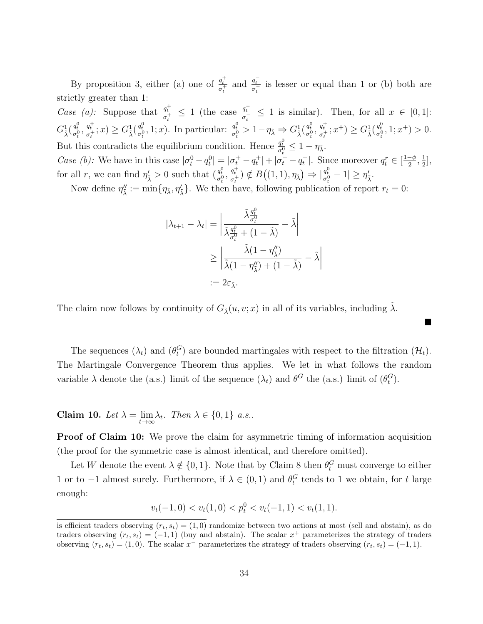By proposition 3, either (a) one of  $\frac{q_t^+}{z^+}$  $\frac{q_t^+}{\sigma_t^+}$  and  $\frac{q_t^-}{\sigma_t^-}$  $\frac{q_t}{\sigma_t^{-}}$  is lesser or equal than 1 or (b) both are strictly greater than 1:

*Case (a):* Suppose that  $\frac{q_t^+}{z^+}$  $\frac{q_t^+}{\sigma_t^+} \leq 1$  (the case  $\frac{q_t^-}{\sigma_t^-}$  $\frac{q_t}{\sigma_t^{-}} \leq 1$  is similar). Then, for all  $x \in [0,1]$ :  $G^1_{\tilde\lambda}(\frac{q^0_t}{\sigma^0_t},\frac{q^+_t}{\sigma^+_t}$  $\left(\frac{q_t^+}{\sigma_t^+};x\right) \geq G_{\tilde{\lambda}}^1(\frac{q_t^0}{\sigma_t^0},1;x)$ . In particular:  $\frac{q_t^0}{\sigma_t^0} > 1 - \eta_{\tilde{\lambda}} \Rightarrow G_{\tilde{\lambda}}^1(\frac{q_t^0}{\sigma_t^0},\frac{q_t^+}{\sigma_t^+})$  $\left( \frac{q_t^+}{\sigma_t^+} ; x^+ \right) \ge G_{\tilde{\lambda}}^1(\frac{q_t^0}{\sigma_t^0}, 1; x^+) > 0.$ But this contradicts the equilibrium condition. Hence  $\frac{q_t^0}{\sigma_t^0} \leq 1 - \eta_{\tilde{\lambda}}$ . Case (b): We have in this case  $|\sigma_t^0 - q_t^0| = |\sigma_t^+ - q_t^+| + |\sigma_t^- - q_t^-|$ . Since moreover  $q_t^r \in \left[\frac{1-\phi_t}{2}\right]$  $\frac{-\phi}{2}, \frac{1}{2}$  $\frac{1}{2}$ ,

for all r, we can find  $\eta'_{\tilde{\lambda}} > 0$  such that  $\left(\frac{q_t^0}{\sigma_t^0}, \frac{q_t^+}{\sigma_t^+}\right)$  $\frac{q_t^+}{\sigma_t^+}$ )  $\notin B((1,1), \eta_{\tilde{\lambda}}) \Rightarrow |\frac{q_t^0}{\sigma_t^0} - 1| \geq \eta'_{\tilde{\lambda}}.$ 

Now define  $\eta''_{\tilde{\lambda}} := \min\{\eta_{\tilde{\lambda}}, \eta'_{\tilde{\lambda}}\}\.$  We then have, following publication of report  $r_t = 0$ :

$$
|\lambda_{t+1} - \lambda_t| = \left| \frac{\tilde{\lambda} \frac{q_t^0}{\sigma_t^0}}{\tilde{\lambda} \frac{q_t^0}{\sigma_t^0} + (1 - \tilde{\lambda})} - \tilde{\lambda} \right|
$$
  

$$
\geq \left| \frac{\tilde{\lambda}(1 - \eta_{\tilde{\lambda}}'')}{\tilde{\lambda}(1 - \eta_{\tilde{\lambda}}'') + (1 - \tilde{\lambda})} - \tilde{\lambda} \right|
$$
  

$$
:= 2\varepsilon_{\tilde{\lambda}}.
$$

The claim now follows by continuity of  $G_{\lambda}(u, v; x)$  in all of its variables, including  $\lambda$ .

The sequences  $(\lambda_t)$  and  $(\theta_t^G)$  are bounded martingales with respect to the filtration  $(\mathcal{H}_t)$ . The Martingale Convergence Theorem thus applies. We let in what follows the random variable  $\lambda$  denote the (a.s.) limit of the sequence  $(\lambda_t)$  and  $\theta^G$  the (a.s.) limit of  $(\theta_t^G)$ .

 $\blacksquare$ 

**Claim 10.** Let  $\lambda = \lim_{t \to \infty} \lambda_t$ . Then  $\lambda \in \{0, 1\}$  a.s..

**Proof of Claim 10:** We prove the claim for asymmetric timing of information acquisition (the proof for the symmetric case is almost identical, and therefore omitted).

Let W denote the event  $\lambda \notin \{0,1\}$ . Note that by Claim 8 then  $\theta_t^G$  must converge to either 1 or to −1 almost surely. Furthermore, if  $\lambda \in (0,1)$  and  $\theta_t^G$  tends to 1 we obtain, for t large enough:

 $v_t(-1,0) < v_t(1,0) < p_t^0 < v_t(-1,1) < v_t(1,1).$ 

is efficient traders observing  $(r_t, s_t) = (1, 0)$  randomize between two actions at most (sell and abstain), as do traders observing  $(r_t, s_t) = (-1, 1)$  (buy and abstain). The scalar  $x^+$  parameterizes the strategy of traders observing  $(r_t, s_t) = (1, 0)$ . The scalar  $x^-$  parameterizes the strategy of traders observing  $(r_t, s_t) = (-1, 1)$ .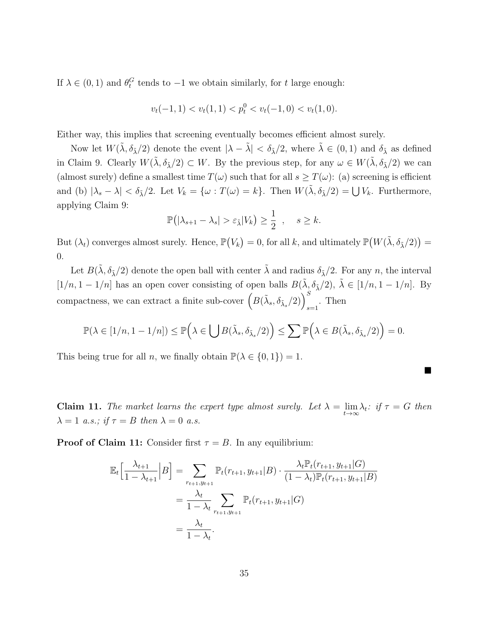If  $\lambda \in (0, 1)$  and  $\theta_t^G$  tends to  $-1$  we obtain similarly, for t large enough:

$$
v_t(-1,1) < v_t(1,1) < p_t^0 < v_t(-1,0) < v_t(1,0).
$$

Either way, this implies that screening eventually becomes efficient almost surely.

Now let  $W(\tilde{\lambda}, \delta_{\tilde{\lambda}}/2)$  denote the event  $|\lambda - \tilde{\lambda}| < \delta_{\tilde{\lambda}}/2$ , where  $\tilde{\lambda} \in (0, 1)$  and  $\delta_{\tilde{\lambda}}$  as defined in Claim 9. Clearly  $W(\tilde{\lambda}, \delta_{\tilde{\lambda}}/2) \subset W$ . By the previous step, for any  $\omega \in W(\tilde{\lambda}, \delta_{\tilde{\lambda}}/2)$  we can (almost surely) define a smallest time  $T(\omega)$  such that for all  $s \geq T(\omega)$ : (a) screening is efficient and (b)  $|\lambda_s - \lambda| < \delta_{\tilde{\lambda}}/2$ . Let  $V_k = {\omega : T(\omega) = k}$ . Then  $W(\tilde{\lambda}, \delta_{\tilde{\lambda}}/2) = \bigcup V_k$ . Furthermore, applying Claim 9:

$$
\mathbb{P}(|\lambda_{s+1} - \lambda_s| > \varepsilon_{\tilde{\lambda}} | V_k) \ge \frac{1}{2} , \quad s \ge k.
$$

But  $(\lambda_t)$  converges almost surely. Hence,  $\mathbb{P}(V_k) = 0$ , for all k, and ultimately  $\mathbb{P}(W(\tilde{\lambda}, \delta_{\tilde{\lambda}}/2)) =$ 0.

Let  $B(\tilde{\lambda}, \delta_{\tilde{\lambda}}/2)$  denote the open ball with center  $\tilde{\lambda}$  and radius  $\delta_{\tilde{\lambda}}/2$ . For any n, the interval  $[1/n, 1 - 1/n]$  has an open cover consisting of open balls  $B(\tilde{\lambda}, \delta_{\tilde{\lambda}}/2)$ ,  $\tilde{\lambda} \in [1/n, 1 - 1/n]$ . By compactness, we can extract a finite sub-cover  $\left(B(\tilde{\lambda}_s, \delta_{\tilde{\lambda}_s}/2)\right)_{s=1}^S$ . Then

$$
\mathbb{P}(\lambda \in [1/n, 1 - 1/n]) \le \mathbb{P}\left(\lambda \in \bigcup B(\tilde{\lambda}_s, \delta_{\tilde{\lambda}_s}/2)\right) \le \sum \mathbb{P}\left(\lambda \in B(\tilde{\lambda}_s, \delta_{\tilde{\lambda}_s}/2)\right) = 0.
$$

 $\blacksquare$ 

This being true for all n, we finally obtain  $\mathbb{P}(\lambda \in \{0,1\}) = 1$ .

**Claim 11.** The market learns the expert type almost surely. Let  $\lambda = \lim_{t \to \infty} \lambda_t$ : if  $\tau = G$  then  $\lambda = 1$  a.s.; if  $\tau = B$  then  $\lambda = 0$  a.s.

**Proof of Claim 11:** Consider first  $\tau = B$ . In any equilibrium:

$$
\mathbb{E}_{t}\left[\frac{\lambda_{t+1}}{1-\lambda_{t+1}}\Big|B\right] = \sum_{r_{t+1},y_{t+1}}\mathbb{P}_{t}(r_{t+1},y_{t+1}|B)\cdot\frac{\lambda_{t}\mathbb{P}_{t}(r_{t+1},y_{t+1}|G)}{(1-\lambda_{t})\mathbb{P}_{t}(r_{t+1},y_{t+1}|B)} \n= \frac{\lambda_{t}}{1-\lambda_{t}}\sum_{r_{t+1},y_{t+1}}\mathbb{P}_{t}(r_{t+1},y_{t+1}|G) \n= \frac{\lambda_{t}}{1-\lambda_{t}}.
$$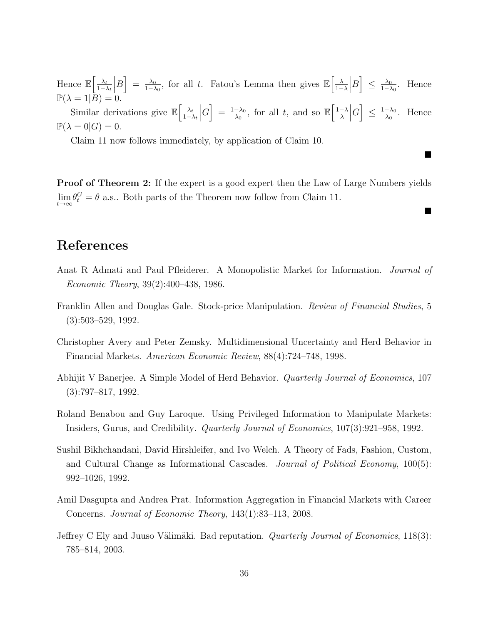Hence  $\mathbb{E}\left[\frac{\lambda_t}{1-\lambda_t}\right]$  $1-\lambda_t$  $\overline{\phantom{a}}$  $B\Big] = \frac{\lambda_0}{1-\lambda_0}$  $\frac{\lambda_0}{1-\lambda_0}$ , for all t. Fatou's Lemma then gives  $\mathbb{E}\left[\frac{\lambda_0}{1-\lambda_0}\right]$  $1-\lambda$  $\begin{array}{c} \begin{array}{c} \begin{array}{c} \end{array}\\ \begin{array}{c} \end{array} \end{array} \end{array}$  $B\Big|\leq \frac{\lambda_0}{1-\lambda}$  $\frac{\lambda_0}{1-\lambda_0}$ . Hence  $\mathbb{P}(\lambda = 1|B) = 0.$ Similar derivations give  $\mathbb{E}\left[\frac{\lambda_t}{1-\lambda_t}\right]$  $1-\lambda_t$  $\begin{array}{c} \hline \end{array}$  $G = \frac{1-\lambda_0}{\lambda_0}$  $\frac{-\lambda_0}{\lambda_0}$ , for all t, and so  $\mathbb{E}\left[\frac{1-\lambda_0}{\lambda}\right]$ λ  $\begin{array}{c} \begin{array}{c} \begin{array}{c} \end{array}\\ \begin{array}{c} \end{array} \end{array} \end{array}$  $|G| \leq \frac{1-\lambda_0}{\lambda_0}$  $\frac{-\lambda_0}{\lambda_0}$ . Hence  $\mathbb{P}(\lambda=0|G)=0.$ 

Claim 11 now follows immediately, by application of Claim 10.

**Proof of Theorem 2:** If the expert is a good expert then the Law of Large Numbers yields  $\lim_{t\to\infty} \theta_t^G = \theta$  a.s.. Both parts of the Theorem now follow from Claim 11.

■

 $\blacksquare$ 

## References

- Anat R Admati and Paul Pfleiderer. A Monopolistic Market for Information. Journal of Economic Theory, 39(2):400–438, 1986.
- Franklin Allen and Douglas Gale. Stock-price Manipulation. Review of Financial Studies, 5 (3):503–529, 1992.
- Christopher Avery and Peter Zemsky. Multidimensional Uncertainty and Herd Behavior in Financial Markets. American Economic Review, 88(4):724–748, 1998.
- Abhijit V Banerjee. A Simple Model of Herd Behavior. Quarterly Journal of Economics, 107 (3):797–817, 1992.
- Roland Benabou and Guy Laroque. Using Privileged Information to Manipulate Markets: Insiders, Gurus, and Credibility. Quarterly Journal of Economics, 107(3):921–958, 1992.
- Sushil Bikhchandani, David Hirshleifer, and Ivo Welch. A Theory of Fads, Fashion, Custom, and Cultural Change as Informational Cascades. Journal of Political Economy, 100(5): 992–1026, 1992.
- Amil Dasgupta and Andrea Prat. Information Aggregation in Financial Markets with Career Concerns. Journal of Economic Theory, 143(1):83–113, 2008.
- Jeffrey C Ely and Juuso Välimäki. Bad reputation. *Quarterly Journal of Economics*, 118(3): 785–814, 2003.